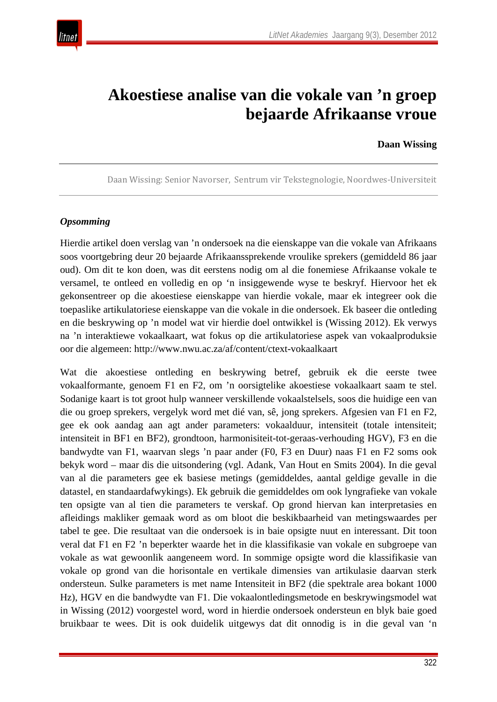

# **Akoestiese analise van die vokale van 'n groep bejaarde Afrikaanse vroue**

#### **Daan Wissing**

Daan Wissing: Senior Navorser, Sentrum vir Tekstegnologie, Noordwes-Universiteit

#### *Opsomming*

Hierdie artikel doen verslag van 'n ondersoek na die eienskappe van die vokale van Afrikaans soos voortgebring deur 20 bejaarde Afrikaanssprekende vroulike sprekers (gemiddeld 86 jaar oud). Om dit te kon doen, was dit eerstens nodig om al die fonemiese Afrikaanse vokale te versamel, te ontleed en volledig en op 'n insiggewende wyse te beskryf. Hiervoor het ek gekonsentreer op die akoestiese eienskappe van hierdie vokale, maar ek integreer ook die toepaslike artikulatoriese eienskappe van die vokale in die ondersoek. Ek baseer die ontleding en die beskrywing op 'n model wat vir hierdie doel ontwikkel is (Wissing 2012). Ek verwys na 'n interaktiewe vokaalkaart, wat fokus op die artikulatoriese aspek van vokaalproduksie oor die algemeen: http://www.nwu.ac.za/af/content/ctext-vokaalkaart

Wat die akoestiese ontleding en beskrywing betref, gebruik ek die eerste twee vokaalformante, genoem F1 en F2, om 'n oorsigtelike akoestiese vokaalkaart saam te stel. Sodanige kaart is tot groot hulp wanneer verskillende vokaalstelsels, soos die huidige een van die ou groep sprekers, vergelyk word met dié van, sê, jong sprekers. Afgesien van F1 en F2, gee ek ook aandag aan agt ander parameters: vokaalduur, intensiteit (totale intensiteit; intensiteit in BF1 en BF2), grondtoon, harmonisiteit-tot-geraas-verhouding HGV), F3 en die bandwydte van F1, waarvan slegs 'n paar ander (F0, F3 en Duur) naas F1 en F2 soms ook bekyk word – maar dis die uitsondering (vgl. Adank, Van Hout en Smits 2004). In die geval van al die parameters gee ek basiese metings (gemiddeldes, aantal geldige gevalle in die datastel, en standaardafwykings). Ek gebruik die gemiddeldes om ook lyngrafieke van vokale ten opsigte van al tien die parameters te verskaf. Op grond hiervan kan interpretasies en afleidings makliker gemaak word as om bloot die beskikbaarheid van metingswaardes per tabel te gee. Die resultaat van die ondersoek is in baie opsigte nuut en interessant. Dit toon veral dat F1 en F2 'n beperkter waarde het in die klassifikasie van vokale en subgroepe van vokale as wat gewoonlik aangeneem word. In sommige opsigte word die klassifikasie van vokale op grond van die horisontale en vertikale dimensies van artikulasie daarvan sterk ondersteun. Sulke parameters is met name Intensiteit in BF2 (die spektrale area bokant 1000 Hz), HGV en die bandwydte van F1. Die vokaalontledingsmetode en beskrywingsmodel wat in Wissing (2012) voorgestel word, word in hierdie ondersoek ondersteun en blyk baie goed bruikbaar te wees. Dit is ook duidelik uitgewys dat dit onnodig is in die geval van 'n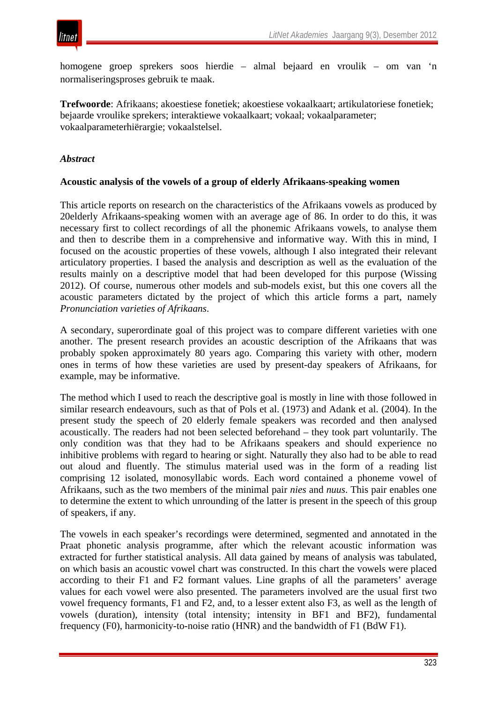

homogene groep sprekers soos hierdie – almal bejaard en vroulik – om van 'n normaliseringsproses gebruik te maak.

**Trefwoorde**: Afrikaans; akoestiese fonetiek; akoestiese vokaalkaart; artikulatoriese fonetiek; bejaarde vroulike sprekers; interaktiewe vokaalkaart; vokaal; vokaalparameter; vokaalparameterhiërargie; vokaalstelsel.

#### *Abstract*

#### **Acoustic analysis of the vowels of a group of elderly Afrikaans-speaking women**

This article reports on research on the characteristics of the Afrikaans vowels as produced by 20elderly Afrikaans-speaking women with an average age of 86. In order to do this, it was necessary first to collect recordings of all the phonemic Afrikaans vowels, to analyse them and then to describe them in a comprehensive and informative way. With this in mind, I focused on the acoustic properties of these vowels, although I also integrated their relevant articulatory properties. I based the analysis and description as well as the evaluation of the results mainly on a descriptive model that had been developed for this purpose (Wissing 2012). Of course, numerous other models and sub-models exist, but this one covers all the acoustic parameters dictated by the project of which this article forms a part, namely *Pronunciation varieties of Afrikaans*.

A secondary, superordinate goal of this project was to compare different varieties with one another. The present research provides an acoustic description of the Afrikaans that was probably spoken approximately 80 years ago. Comparing this variety with other, modern ones in terms of how these varieties are used by present-day speakers of Afrikaans, for example, may be informative.

The method which I used to reach the descriptive goal is mostly in line with those followed in similar research endeavours, such as that of Pols et al. (1973) and Adank et al. (2004). In the present study the speech of 20 elderly female speakers was recorded and then analysed acoustically. The readers had not been selected beforehand – they took part voluntarily. The only condition was that they had to be Afrikaans speakers and should experience no inhibitive problems with regard to hearing or sight. Naturally they also had to be able to read out aloud and fluently. The stimulus material used was in the form of a reading list comprising 12 isolated, monosyllabic words. Each word contained a phoneme vowel of Afrikaans, such as the two members of the minimal pair *nies* and *nuus*. This pair enables one to determine the extent to which unrounding of the latter is present in the speech of this group of speakers, if any.

The vowels in each speaker's recordings were determined, segmented and annotated in the Praat phonetic analysis programme, after which the relevant acoustic information was extracted for further statistical analysis. All data gained by means of analysis was tabulated, on which basis an acoustic vowel chart was constructed. In this chart the vowels were placed according to their F1 and F2 formant values. Line graphs of all the parameters' average values for each vowel were also presented. The parameters involved are the usual first two vowel frequency formants, F1 and F2, and, to a lesser extent also F3, as well as the length of vowels (duration), intensity (total intensity; intensity in BF1 and BF2), fundamental frequency (F0), harmonicity-to-noise ratio (HNR) and the bandwidth of F1 (BdW F1).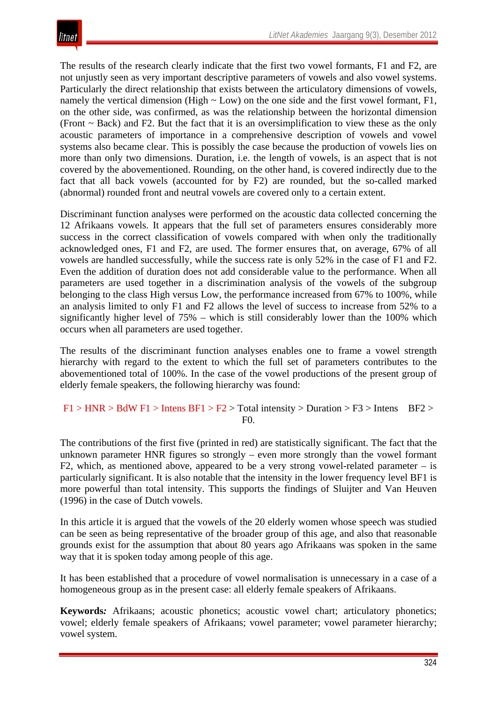The results of the research clearly indicate that the first two vowel formants, F1 and F2, are not unjustly seen as very important descriptive parameters of vowels and also vowel systems. Particularly the direct relationship that exists between the articulatory dimensions of vowels, namely the vertical dimension (High  $\sim$  Low) on the one side and the first vowel formant, F1, on the other side, was confirmed, as was the relationship between the horizontal dimension (Front  $\sim$  Back) and F2. But the fact that it is an oversimplification to view these as the only acoustic parameters of importance in a comprehensive description of vowels and vowel systems also became clear. This is possibly the case because the production of vowels lies on more than only two dimensions. Duration, i.e. the length of vowels, is an aspect that is not covered by the abovementioned. Rounding, on the other hand, is covered indirectly due to the fact that all back vowels (accounted for by F2) are rounded, but the so-called marked (abnormal) rounded front and neutral vowels are covered only to a certain extent.

Discriminant function analyses were performed on the acoustic data collected concerning the 12 Afrikaans vowels. It appears that the full set of parameters ensures considerably more success in the correct classification of vowels compared with when only the traditionally acknowledged ones, F1 and F2, are used. The former ensures that, on average, 67% of all vowels are handled successfully, while the success rate is only 52% in the case of F1 and F2. Even the addition of duration does not add considerable value to the performance. When all parameters are used together in a discrimination analysis of the vowels of the subgroup belonging to the class High versus Low, the performance increased from 67% to 100%, while an analysis limited to only F1 and F2 allows the level of success to increase from 52% to a significantly higher level of 75% – which is still considerably lower than the 100% which occurs when all parameters are used together.

The results of the discriminant function analyses enables one to frame a vowel strength hierarchy with regard to the extent to which the full set of parameters contributes to the abovementioned total of 100%. In the case of the vowel productions of the present group of elderly female speakers, the following hierarchy was found:

#### $F1 > HNR > BdW F1 > Intens BF1 > F2 > Total intensity > Duration > F3 > Intens BF2 >$ F0.

The contributions of the first five (printed in red) are statistically significant. The fact that the unknown parameter HNR figures so strongly – even more strongly than the vowel formant F2, which, as mentioned above, appeared to be a very strong vowel-related parameter  $-$  is particularly significant. It is also notable that the intensity in the lower frequency level BF1 is more powerful than total intensity. This supports the findings of Sluijter and Van Heuven (1996) in the case of Dutch vowels.

In this article it is argued that the vowels of the 20 elderly women whose speech was studied can be seen as being representative of the broader group of this age, and also that reasonable grounds exist for the assumption that about 80 years ago Afrikaans was spoken in the same way that it is spoken today among people of this age.

It has been established that a procedure of vowel normalisation is unnecessary in a case of a homogeneous group as in the present case: all elderly female speakers of Afrikaans.

**Keywords***:* Afrikaans; acoustic phonetics; acoustic vowel chart; articulatory phonetics; vowel; elderly female speakers of Afrikaans; vowel parameter; vowel parameter hierarchy; vowel system.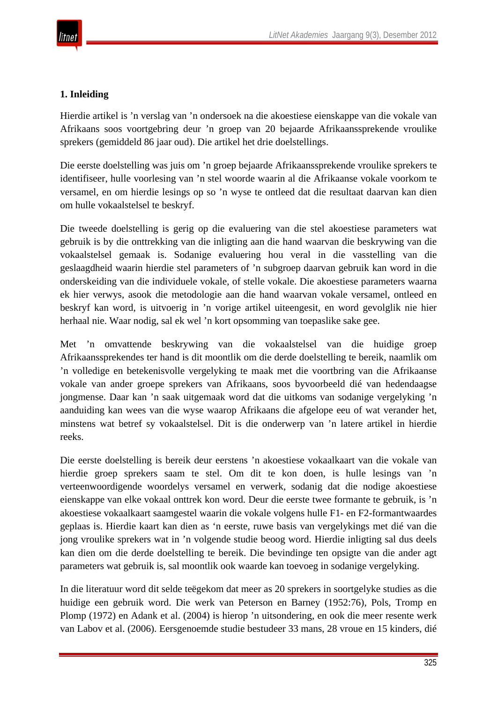## **1. Inleiding**

Hierdie artikel is 'n verslag van 'n ondersoek na die akoestiese eienskappe van die vokale van Afrikaans soos voortgebring deur 'n groep van 20 bejaarde Afrikaanssprekende vroulike sprekers (gemiddeld 86 jaar oud). Die artikel het drie doelstellings.

Die eerste doelstelling was juis om 'n groep bejaarde Afrikaanssprekende vroulike sprekers te identifiseer, hulle voorlesing van 'n stel woorde waarin al die Afrikaanse vokale voorkom te versamel, en om hierdie lesings op so 'n wyse te ontleed dat die resultaat daarvan kan dien om hulle vokaalstelsel te beskryf.

Die tweede doelstelling is gerig op die evaluering van die stel akoestiese parameters wat gebruik is by die onttrekking van die inligting aan die hand waarvan die beskrywing van die vokaalstelsel gemaak is. Sodanige evaluering hou veral in die vasstelling van die geslaagdheid waarin hierdie stel parameters of 'n subgroep daarvan gebruik kan word in die onderskeiding van die individuele vokale, of stelle vokale. Die akoestiese parameters waarna ek hier verwys, asook die metodologie aan die hand waarvan vokale versamel, ontleed en beskryf kan word, is uitvoerig in 'n vorige artikel uiteengesit, en word gevolglik nie hier herhaal nie. Waar nodig, sal ek wel 'n kort opsomming van toepaslike sake gee.

Met 'n omvattende beskrywing van die vokaalstelsel van die huidige groep Afrikaanssprekendes ter hand is dit moontlik om die derde doelstelling te bereik, naamlik om 'n volledige en betekenisvolle vergelyking te maak met die voortbring van die Afrikaanse vokale van ander groepe sprekers van Afrikaans, soos byvoorbeeld dié van hedendaagse jongmense. Daar kan 'n saak uitgemaak word dat die uitkoms van sodanige vergelyking 'n aanduiding kan wees van die wyse waarop Afrikaans die afgelope eeu of wat verander het, minstens wat betref sy vokaalstelsel. Dit is die onderwerp van 'n latere artikel in hierdie reeks.

Die eerste doelstelling is bereik deur eerstens 'n akoestiese vokaalkaart van die vokale van hierdie groep sprekers saam te stel. Om dit te kon doen, is hulle lesings van 'n verteenwoordigende woordelys versamel en verwerk, sodanig dat die nodige akoestiese eienskappe van elke vokaal onttrek kon word. Deur die eerste twee formante te gebruik, is 'n akoestiese vokaalkaart saamgestel waarin die vokale volgens hulle F1- en F2-formantwaardes geplaas is. Hierdie kaart kan dien as 'n eerste, ruwe basis van vergelykings met dié van die jong vroulike sprekers wat in 'n volgende studie beoog word. Hierdie inligting sal dus deels kan dien om die derde doelstelling te bereik. Die bevindinge ten opsigte van die ander agt parameters wat gebruik is, sal moontlik ook waarde kan toevoeg in sodanige vergelyking.

In die literatuur word dit selde teëgekom dat meer as 20 sprekers in soortgelyke studies as die huidige een gebruik word. Die werk van Peterson en Barney (1952:76), Pols, Tromp en Plomp (1972) en Adank et al. (2004) is hierop 'n uitsondering, en ook die meer resente werk van Labov et al. (2006). Eersgenoemde studie bestudeer 33 mans, 28 vroue en 15 kinders, dié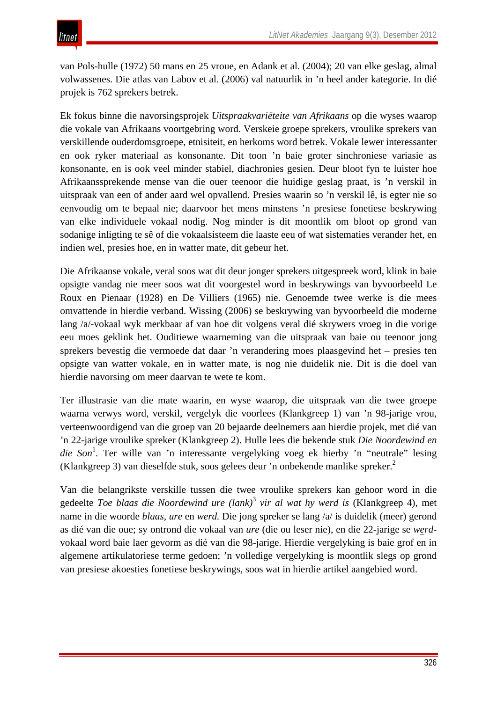van Pols-hulle (1972) 50 mans en 25 vroue, en Adank et al. (2004); 20 van elke geslag, almal volwassenes. Die atlas van Labov et al. (2006) val natuurlik in 'n heel ander kategorie. In dié projek is 762 sprekers betrek.

Ek fokus binne die navorsingsprojek *Uitspraakvariëteite van Afrikaans* op die wyses waarop die vokale van Afrikaans voortgebring word. Verskeie groepe sprekers, vroulike sprekers van verskillende ouderdomsgroepe, etnisiteit, en herkoms word betrek. Vokale lewer interessanter en ook ryker materiaal as konsonante. Dit toon 'n baie groter sinchroniese variasie as konsonante, en is ook veel minder stabiel, diachronies gesien. Deur bloot fyn te luister hoe Afrikaanssprekende mense van die ouer teenoor die huidige geslag praat, is 'n verskil in uitspraak van een of ander aard wel opvallend. Presies waarin so 'n verskil lê, is egter nie so eenvoudig om te bepaal nie; daarvoor het mens minstens 'n presiese fonetiese beskrywing van elke individuele vokaal nodig. Nog minder is dit moontlik om bloot op grond van sodanige inligting te sê of die vokaalsisteem die laaste eeu of wat sistematies verander het, en indien wel, presies hoe, en in watter mate, dit gebeur het.

Die Afrikaanse vokale, veral soos wat dit deur jonger sprekers uitgespreek word, klink in baie opsigte vandag nie meer soos wat dit voorgestel word in beskrywings van byvoorbeeld Le Roux en Pienaar (1928) en De Villiers (1965) nie. Genoemde twee werke is die mees omvattende in hierdie verband. Wissing (2006) se beskrywing van byvoorbeeld die moderne lang /a/-vokaal wyk merkbaar af van hoe dit volgens veral dié skrywers vroeg in die vorige eeu moes geklink het. Ouditiewe waarneming van die uitspraak van baie ou teenoor jong sprekers bevestig die vermoede dat daar 'n verandering moes plaasgevind het – presies ten opsigte van watter vokale, en in watter mate, is nog nie duidelik nie. Dit is die doel van hierdie navorsing om meer daarvan te wete te kom.

Ter illustrasie van die mate waarin, en wyse waarop, die uitspraak van die twee groepe waarna verwys word, verskil, vergelyk die voorlees (Klankgreep 1) van 'n 98-jarige vrou, verteenwoordigend van die groep van 20 bejaarde deelnemers aan hierdie projek, met dié van 'n 22-jarige vroulike spreker (Klankgreep 2). Hulle lees die bekende stuk *Die Noordewind en*  die Son<sup>1</sup>. Ter wille van 'n interessante vergelyking voeg ek hierby 'n "neutrale" lesing (Klankgreep 3) van dieselfde stuk, soos gelees deur 'n onbekende manlike spreker.<sup>2</sup>

Van die belangrikste verskille tussen die twee vroulike sprekers kan gehoor word in die gedeelte *Toe blaas die Noordewind ure (lank)*[3](http://www.litnet.co.za/Article/akoestiese-analise-van-die-vokale-van-n-groep-bejaarde-afrikaanse-vroue#_edn3) *vir al wat hy werd is* (Klankgreep 4), met name in die woorde *blaas*, *ure* en *werd.* Die jong spreker se lang /a/ is duidelik (meer) gerond as dié van die oue; sy ontrond die vokaal van *ure* (die ou leser nie), en die 22-jarige se *werd*vokaal word baie laer gevorm as dié van die 98-jarige. Hierdie vergelyking is baie grof en in algemene artikulatoriese terme gedoen; 'n volledige vergelyking is moontlik slegs op grond van presiese akoesties fonetiese beskrywings, soos wat in hierdie artikel aangebied word.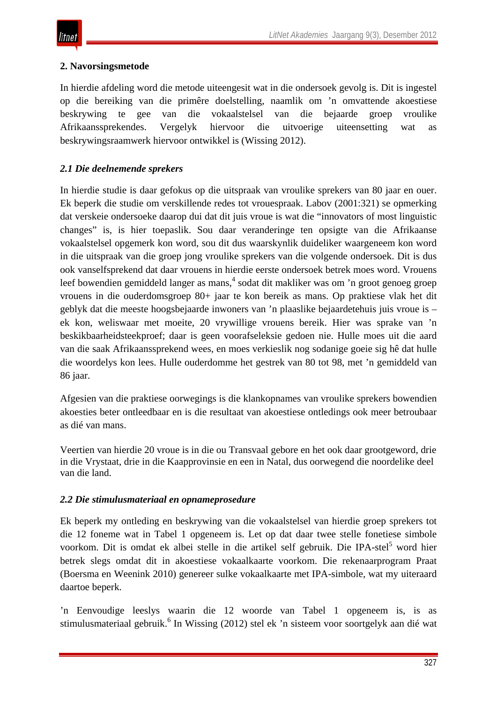## **2. Navorsingsmetode**

In hierdie afdeling word die metode uiteengesit wat in die ondersoek gevolg is. Dit is ingestel op die bereiking van die primêre doelstelling, naamlik om 'n omvattende akoestiese beskrywing te gee van die vokaalstelsel van die bejaarde groep vroulike Afrikaanssprekendes. Vergelyk hiervoor die uitvoerige uiteensetting wat as beskrywingsraamwerk hiervoor ontwikkel is (Wissing 2012).

## *2.1 Die deelnemende sprekers*

In hierdie studie is daar gefokus op die uitspraak van vroulike sprekers van 80 jaar en ouer. Ek beperk die studie om verskillende redes tot vrouespraak. Labov (2001:321) se opmerking dat verskeie ondersoeke daarop dui dat dit juis vroue is wat die "innovators of most linguistic changes" is, is hier toepaslik. Sou daar veranderinge ten opsigte van die Afrikaanse vokaalstelsel opgemerk kon word, sou dit dus waarskynlik duideliker waargeneem kon word in die uitspraak van die groep jong vroulike sprekers van die volgende ondersoek. Dit is dus ook vanselfsprekend dat daar vrouens in hierdie eerste ondersoek betrek moes word. Vrouens leef bowendien gemiddeld langer as mans,<sup>4</sup> sodat dit makliker was om 'n groot genoeg groep vrouens in die ouderdomsgroep 80+ jaar te kon bereik as mans. Op praktiese vlak het dit geblyk dat die meeste hoogsbejaarde inwoners van 'n plaaslike bejaardetehuis juis vroue is – ek kon, weliswaar met moeite, 20 vrywillige vrouens bereik. Hier was sprake van 'n beskikbaarheidsteekproef; daar is geen voorafseleksie gedoen nie. Hulle moes uit die aard van die saak Afrikaanssprekend wees, en moes verkieslik nog sodanige goeie sig hê dat hulle die woordelys kon lees. Hulle ouderdomme het gestrek van 80 tot 98, met 'n gemiddeld van 86 jaar.

Afgesien van die praktiese oorwegings is die klankopnames van vroulike sprekers bowendien akoesties beter ontleedbaar en is die resultaat van akoestiese ontledings ook meer betroubaar as dié van mans.

Veertien van hierdie 20 vroue is in die ou Transvaal gebore en het ook daar grootgeword, drie in die Vrystaat, drie in die Kaapprovinsie en een in Natal, dus oorwegend die noordelike deel van die land.

## *2.2 Die stimulusmateriaal en opnameprosedure*

Ek beperk my ontleding en beskrywing van die vokaalstelsel van hierdie groep sprekers tot die 12 foneme wat in Tabel 1 opgeneem is. Let op dat daar twee stelle fonetiese simbole voorkom. Dit is omdat ek albei stelle in die artikel self gebruik. Die IPA-stel<sup>5</sup> word hier betrek slegs omdat dit in akoestiese vokaalkaarte voorkom. Die rekenaarprogram Praat (Boersma en Weenink 2010) genereer sulke vokaalkaarte met IPA-simbole, wat my uiteraard daartoe beperk.

'n Eenvoudige leeslys waarin die 12 woorde van Tabel 1 opgeneem is, is as stimulusmateriaal gebruik.<sup>6</sup> In Wissing (2012) stel ek 'n sisteem voor soortgelyk aan dié wat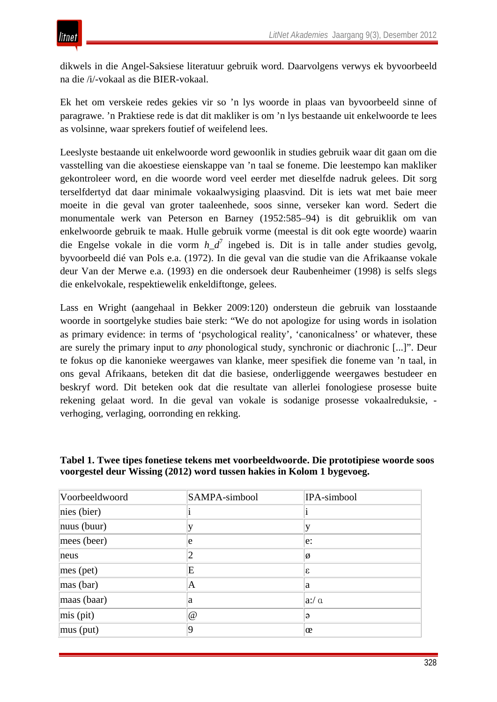dikwels in die Angel-Saksiese literatuur gebruik word. Daarvolgens verwys ek byvoorbeeld na die /i/-vokaal as die BIER-vokaal.

Ek het om verskeie redes gekies vir so 'n lys woorde in plaas van byvoorbeeld sinne of paragrawe. 'n Praktiese rede is dat dit makliker is om 'n lys bestaande uit enkelwoorde te lees as volsinne, waar sprekers foutief of weifelend lees.

Leeslyste bestaande uit enkelwoorde word gewoonlik in studies gebruik waar dit gaan om die vasstelling van die akoestiese eienskappe van 'n taal se foneme. Die leestempo kan makliker gekontroleer word, en die woorde word veel eerder met dieselfde nadruk gelees. Dit sorg terselfdertyd dat daar minimale vokaalwysiging plaasvind. Dit is iets wat met baie meer moeite in die geval van groter taaleenhede, soos sinne, verseker kan word. Sedert die monumentale werk van Peterson en Barney (1952:585–94) is dit gebruiklik om van enkelwoorde gebruik te maak. Hulle gebruik vorme (meestal is dit ook egte woorde) waarin die Engelse vokale in die vorm *h\_d*<sup>7</sup> ingebed is. Dit is in talle ander studies gevolg, byvoorbeeld dié van Pols e.a. (1972). In die geval van die studie van die Afrikaanse vokale deur Van der Merwe e.a. (1993) en die ondersoek deur Raubenheimer (1998) is selfs slegs die enkelvokale, respektiewelik enkeldiftonge, gelees.

Lass en Wright (aangehaal in Bekker 2009:120) ondersteun die gebruik van losstaande woorde in soortgelyke studies baie sterk: "We do not apologize for using words in isolation as primary evidence: in terms of 'psychological reality', 'canonicalness' or whatever, these are surely the primary input to *any* phonological study, synchronic or diachronic [...]". Deur te fokus op die kanonieke weergawes van klanke, meer spesifiek die foneme van 'n taal, in ons geval Afrikaans, beteken dit dat die basiese, onderliggende weergawes bestudeer en beskryf word. Dit beteken ook dat die resultate van allerlei fonologiese prosesse buite rekening gelaat word. In die geval van vokale is sodanige prosesse vokaalreduksie, verhoging, verlaging, oorronding en rekking.

| Voorbeeldwoord        | SAMPA-simbool | IPA-simbool |
|-----------------------|---------------|-------------|
| nies(bier)            |               |             |
| $\vert$ nuus (buur)   |               |             |
| $ mees$ (beer)        | e             | e:          |
| neus                  | 2             | Ø           |
| $\parallel$ mes (pet) | E             | Ι£          |
| $\vert$ mas (bar)     | A             | la          |
| $\vert$ maas (baar)   | a             | a'/a        |
| $\vert$ mis (pit)     | @             | ə           |
| $\vert$ mus (put)     | Q             | œ           |

### **Tabel 1. Twee tipes fonetiese tekens met voorbeeldwoorde. Die prototipiese woorde soos voorgestel deur Wissing (2012) word tussen hakies in Kolom 1 bygevoeg.**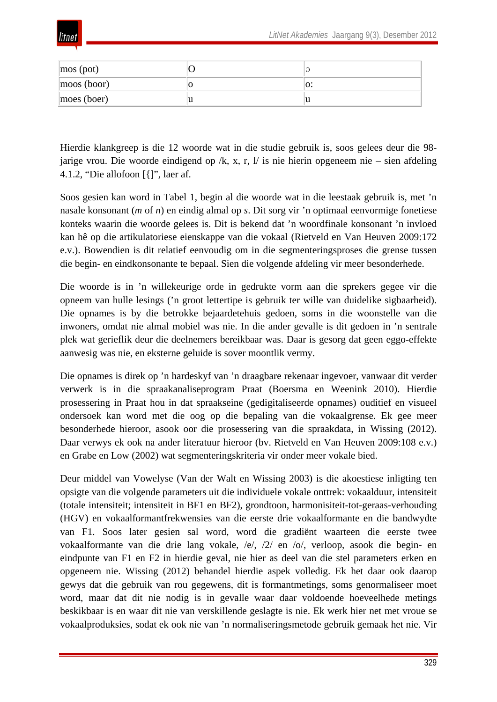

| $\cos$ (pot) |   | ر و ا |
|--------------|---|-------|
| moos (boor)  |   | ıv.   |
| moes (boer)  | ս | ΙU    |

Hierdie klankgreep is die 12 woorde wat in die studie gebruik is, soos gelees deur die 98 jarige vrou. Die woorde eindigend op /k, x, r, l/ is nie hierin opgeneem nie – sien afdeling 4.1.2, "Die allofoon [{]", laer af.

Soos gesien kan word in Tabel 1, begin al die woorde wat in die leestaak gebruik is, met 'n nasale konsonant (*m* of *n*) en eindig almal op *s*. Dit sorg vir 'n optimaal eenvormige fonetiese konteks waarin die woorde gelees is. Dit is bekend dat 'n woordfinale konsonant 'n invloed kan hê op die artikulatoriese eienskappe van die vokaal (Rietveld en Van Heuven 2009:172 e.v.). Bowendien is dit relatief eenvoudig om in die segmenteringsproses die grense tussen die begin- en eindkonsonante te bepaal. Sien die volgende afdeling vir meer besonderhede.

Die woorde is in 'n willekeurige orde in gedrukte vorm aan die sprekers gegee vir die opneem van hulle lesings ('n groot lettertipe is gebruik ter wille van duidelike sigbaarheid). Die opnames is by die betrokke bejaardetehuis gedoen, soms in die woonstelle van die inwoners, omdat nie almal mobiel was nie. In die ander gevalle is dit gedoen in 'n sentrale plek wat gerieflik deur die deelnemers bereikbaar was. Daar is gesorg dat geen eggo-effekte aanwesig was nie, en eksterne geluide is sover moontlik vermy.

Die opnames is direk op 'n hardeskyf van 'n draagbare rekenaar ingevoer, vanwaar dit verder verwerk is in die spraakanaliseprogram Praat (Boersma en Weenink 2010). Hierdie prosessering in Praat hou in dat spraakseine (gedigitaliseerde opnames) ouditief en visueel ondersoek kan word met die oog op die bepaling van die vokaalgrense. Ek gee meer besonderhede hieroor, asook oor die prosessering van die spraakdata, in Wissing (2012). Daar verwys ek ook na ander literatuur hieroor (bv. Rietveld en Van Heuven 2009:108 e.v.) en Grabe en Low (2002) wat segmenteringskriteria vir onder meer vokale bied.

Deur middel van Vowelyse (Van der Walt en Wissing 2003) is die akoestiese inligting ten opsigte van die volgende parameters uit die individuele vokale onttrek: vokaalduur, intensiteit (totale intensiteit; intensiteit in BF1 en BF2), grondtoon, harmonisiteit-tot-geraas-verhouding (HGV) en vokaalformantfrekwensies van die eerste drie vokaalformante en die bandwydte van F1. Soos later gesien sal word, word die gradiënt waarteen die eerste twee vokaalformante van die drie lang vokale, /e/, /2/ en /o/, verloop, asook die begin- en eindpunte van F1 en F2 in hierdie geval, nie hier as deel van die stel parameters erken en opgeneem nie. Wissing (2012) behandel hierdie aspek volledig. Ek het daar ook daarop gewys dat die gebruik van rou gegewens, dit is formantmetings, soms genormaliseer moet word, maar dat dit nie nodig is in gevalle waar daar voldoende hoeveelhede metings beskikbaar is en waar dit nie van verskillende geslagte is nie. Ek werk hier net met vroue se vokaalproduksies, sodat ek ook nie van 'n normaliseringsmetode gebruik gemaak het nie. Vir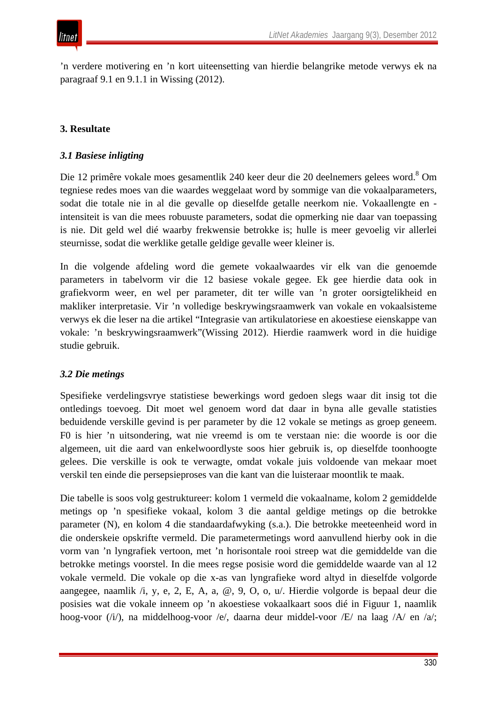'n verdere motivering en 'n kort uiteensetting van hierdie belangrike metode verwys ek na paragraaf 9.1 en 9.1.1 in Wissing (2012).

## **3. Resultate**

### *3.1 Basiese inligting*

Die 12 primêre vokale moes gesamentlik 240 keer deur die 20 deelnemers gelees word.<sup>8</sup> Om tegniese redes moes van die waardes weggelaat word by sommige van die vokaalparameters, sodat die totale nie in al die gevalle op dieselfde getalle neerkom nie. Vokaallengte en intensiteit is van die mees robuuste parameters, sodat die opmerking nie daar van toepassing is nie. Dit geld wel dié waarby frekwensie betrokke is; hulle is meer gevoelig vir allerlei steurnisse, sodat die werklike getalle geldige gevalle weer kleiner is.

In die volgende afdeling word die gemete vokaalwaardes vir elk van die genoemde parameters in tabelvorm vir die 12 basiese vokale gegee. Ek gee hierdie data ook in grafiekvorm weer, en wel per parameter, dit ter wille van 'n groter oorsigtelikheid en makliker interpretasie. Vir 'n volledige beskrywingsraamwerk van vokale en vokaalsisteme verwys ek die leser na die artikel "Integrasie van artikulatoriese en akoestiese eienskappe van vokale: 'n beskrywingsraamwerk"(Wissing 2012). Hierdie raamwerk word in die huidige studie gebruik.

#### *3.2 Die metings*

Spesifieke verdelingsvrye statistiese bewerkings word gedoen slegs waar dit insig tot die ontledings toevoeg. Dit moet wel genoem word dat daar in byna alle gevalle statisties beduidende verskille gevind is per parameter by die 12 vokale se metings as groep geneem. F0 is hier 'n uitsondering, wat nie vreemd is om te verstaan nie: die woorde is oor die algemeen, uit die aard van enkelwoordlyste soos hier gebruik is, op dieselfde toonhoogte gelees. Die verskille is ook te verwagte, omdat vokale juis voldoende van mekaar moet verskil ten einde die persepsieproses van die kant van die luisteraar moontlik te maak.

Die tabelle is soos volg gestruktureer: kolom 1 vermeld die vokaalname, kolom 2 gemiddelde metings op 'n spesifieke vokaal, kolom 3 die aantal geldige metings op die betrokke parameter (N), en kolom 4 die standaardafwyking (s.a.). Die betrokke meeteenheid word in die onderskeie opskrifte vermeld. Die parametermetings word aanvullend hierby ook in die vorm van 'n lyngrafiek vertoon, met 'n horisontale rooi streep wat die gemiddelde van die betrokke metings voorstel. In die mees regse posisie word die gemiddelde waarde van al 12 vokale vermeld. Die vokale op die x-as van lyngrafieke word altyd in dieselfde volgorde aangegee, naamlik /i, y, e, 2, E, A, a, @, 9, O, o, u/. Hierdie volgorde is bepaal deur die posisies wat die vokale inneem op 'n akoestiese vokaalkaart soos dié in Figuur 1, naamlik hoog-voor (/i/), na middelhoog-voor /e/, daarna deur middel-voor /E/ na laag /A/ en /a/;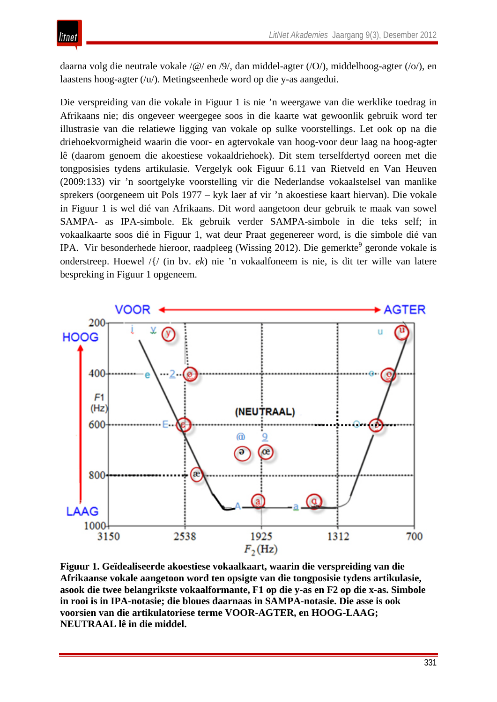daarna volg die neutrale vokale /@/ en /9/, dan middel-agter (/O/), middelhoog-agter (/o/), en laastens hoog-agter (/u/). Metingseenhede word op die y-as aangedui.

Die verspreiding van die vokale in Figuur 1 is nie 'n weergawe van die werklike toedrag in Afrikaans nie; dis ongeveer weergegee soos in die kaarte wat gewoonlik gebruik word ter illustrasie van die relatiewe ligging van vokale op sulke voorstellings. Let ook op na die driehoekvormigheid waarin die voor- en agtervokale van hoog-voor deur laag na hoog-agter lê (daarom genoem die akoestiese vokaaldriehoek). Dit stem terselfdertyd ooreen met die tongposisies tydens artikulasie. Vergelyk ook Figuur 6.11 van Rietveld en Van Heuven (2009:133) vir 'n soortgelyke voorstelling vir die Nederlandse vokaalstelsel van manlike sprekers (oorgeneem uit Pols 1977 – kyk laer af vir 'n akoestiese kaart hiervan). Die vokale in Figuur 1 is wel dié van Afrikaans. Dit word aangetoon deur gebruik te maak van sowel SAMPA- as IPA-simbole. Ek gebruik verder SAMPA-simbole in die teks self; in vokaalkaarte soos dié in Figuur 1, wat deur Praat gegenereer word, is die simbole dié van IPA. Vir besonderhede hieroor, raadpleeg (Wissing 2012). Die gemerkte<sup>9</sup> geronde vokale is onderstreep. Hoewel /{/ (in bv. *ek*) nie 'n vokaalfoneem is nie, is dit ter wille van latere bespreking in Figuur 1 opgeneem.



**Figuur 1. Geïdealiseerde akoestiese vokaalkaart, waarin die verspreiding van die Afrikaanse vokale aangetoon word ten opsigte van die tongposisie tydens artikulasie, asook die twee belangrikste vokaalformante, F1 op die y-as en F2 op die x-as. Simbole in rooi is in IPA-notasie; die bloues daarnaas in SAMPA-notasie. Die asse is ook voorsien van die artikulatoriese terme VOOR-AGTER, en HOOG-LAAG; NEUTRAAL lê in die middel.**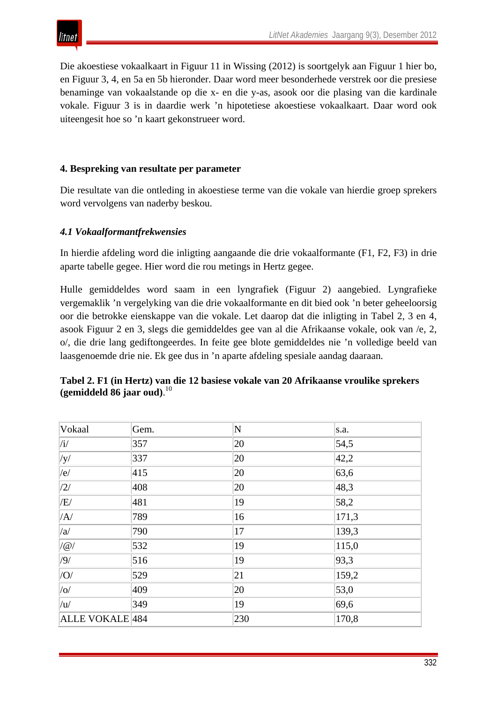Die akoestiese vokaalkaart in Figuur 11 in Wissing (2012) is soortgelyk aan Figuur 1 hier bo, en Figuur 3, 4, en 5a en 5b hieronder. Daar word meer besonderhede verstrek oor die presiese benaminge van vokaalstande op die x- en die y-as, asook oor die plasing van die kardinale vokale. Figuur 3 is in daardie werk 'n hipotetiese akoestiese vokaalkaart. Daar word ook uiteengesit hoe so 'n kaart gekonstrueer word.

### **4. Bespreking van resultate per parameter**

Die resultate van die ontleding in akoestiese terme van die vokale van hierdie groep sprekers word vervolgens van naderby beskou.

### *4.1 Vokaalformantfrekwensies*

In hierdie afdeling word die inligting aangaande die drie vokaalformante (F1, F2, F3) in drie aparte tabelle gegee. Hier word die rou metings in Hertz gegee.

Hulle gemiddeldes word saam in een lyngrafiek (Figuur 2) aangebied. Lyngrafieke vergemaklik 'n vergelyking van die drie vokaalformante en dit bied ook 'n beter geheeloorsig oor die betrokke eienskappe van die vokale. Let daarop dat die inligting in Tabel 2, 3 en 4, asook Figuur 2 en 3, slegs die gemiddeldes gee van al die Afrikaanse vokale, ook van /e, 2, o/, die drie lang gediftongeerdes. In feite gee blote gemiddeldes nie 'n volledige beeld van laasgenoemde drie nie. Ek gee dus in 'n aparte afdeling spesiale aandag daaraan.

| Vokaal                        | Gem. | $\overline{\bf N}$ | s.a.  |
|-------------------------------|------|--------------------|-------|
| $\vert/\mathrm{i}/\mathrm{i}$ | 357  | 20                 | 54,5  |
| y                             | 337  | 20                 | 42,2  |
| e                             | 415  | 20                 | 63,6  |
| $\frac{1}{2}$                 | 408  | 20                 | 48,3  |
| /E/                           | 481  | 19                 | 58,2  |
| /A/                           | 789  | 16                 | 171,3 |
| /a/                           | 790  | 17                 | 139,3 |
| $/$ @                         | 532  | 19                 | 115,0 |
| /9/                           | 516  | 19                 | 93,3  |
| $ $ /O/                       | 529  | 21                 | 159,2 |
| $ $ /0 $/$                    | 409  | 20                 | 53,0  |
| /u/                           | 349  | 19                 | 69,6  |
| ALLE VOKALE 484               |      | 230                | 170,8 |

## **Tabel 2. F1 (in Hertz) van die 12 basiese vokale van 20 Afrikaanse vroulike sprekers (gemiddeld 86 jaar oud)**. 10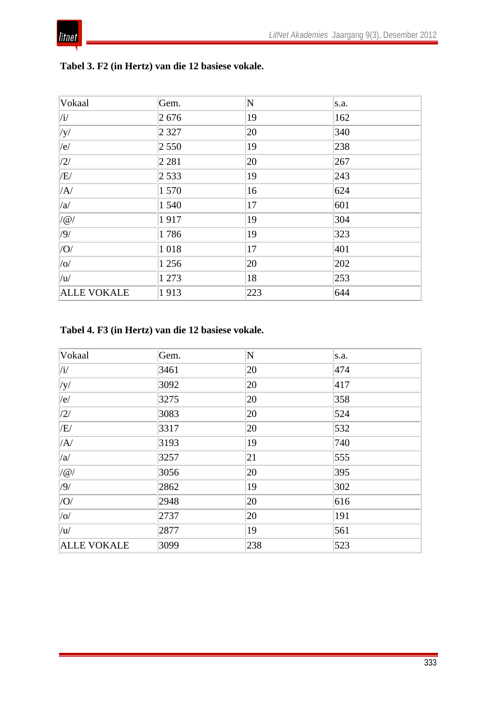

| Vokaal                   | Gem.    | N   | s.a. |
|--------------------------|---------|-----|------|
| $\vert/\mathrm{i}/\vert$ | 2676    | 19  | 162  |
| $ $ /y/                  | 2 3 2 7 | 20  | 340  |
| e                        | 2550    | 19  | 238  |
| $\sqrt{2/}$              | 2 2 8 1 | 20  | 267  |
| /E/                      | 2 5 3 3 | 19  | 243  |
| /A/                      | 1570    | 16  | 624  |
| /a/                      | 1 540   | 17  | 601  |
| $ /\varpi/$              | 1917    | 19  | 304  |
| /9/                      | 1786    | 19  | 323  |
| $ $ /O/                  | 1018    | 17  | 401  |
| $ $ /0 $/$               | 1 2 5 6 | 20  | 202  |
| /u/                      | 1 273   | 18  | 253  |
| <b>ALLE VOKALE</b>       | 1913    | 223 | 644  |

## **Tabel 3. F2 (in Hertz) van die 12 basiese vokale.**

## **Tabel 4. F3 (in Hertz) van die 12 basiese vokale.**

| Vokaal                   | Gem. | N   | s.a. |
|--------------------------|------|-----|------|
| $\vert/\mathrm{i}/\vert$ | 3461 | 20  | 474  |
| $ $ /y/                  | 3092 | 20  | 417  |
| e                        | 3275 | 20  | 358  |
| /2/                      | 3083 | 20  | 524  |
| /E/                      | 3317 | 20  | 532  |
| /A/                      | 3193 | 19  | 740  |
| /a/                      | 3257 | 21  | 555  |
| $/$ @                    | 3056 | 20  | 395  |
| /9/                      | 2862 | 19  | 302  |
| $ $ /O/                  | 2948 | 20  | 616  |
| $ $ /0 $/$               | 2737 | 20  | 191  |
| /u/                      | 2877 | 19  | 561  |
| <b>ALLE VOKALE</b>       | 3099 | 238 | 523  |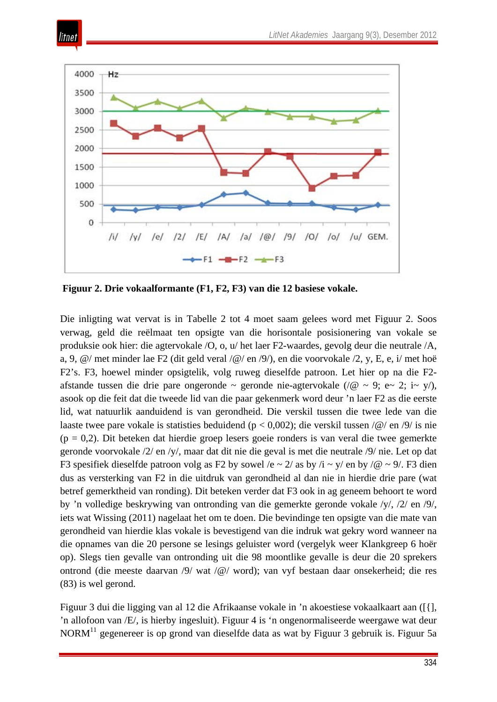

itnet

**Figuur 2. Drie vokaalformante (F1, F2, F3) van die 12 basiese vokale.** 

Die inligting wat vervat is in Tabelle 2 tot 4 moet saam gelees word met Figuur 2. Soos verwag, geld die reëlmaat ten opsigte van die horisontale posisionering van vokale se produksie ook hier: die agtervokale /O, o, u/ het laer F2-waardes, gevolg deur die neutrale /A, a, 9, @/ met minder lae F2 (dit geld veral /@/ en /9/), en die voorvokale /2, y, E, e, i/ met hoë F2's. F3, hoewel minder opsigtelik, volg ruweg dieselfde patroon. Let hier op na die F2 afstande tussen die drie pare ongeronde ~ geronde nie-agtervokale (/ $@$  ~ 9; e~ 2; i~ y/), asook op die feit dat die tweede lid van die paar gekenmerk word deur 'n laer F2 as die eerste lid, wat natuurlik aanduidend is van gerondheid. Die verskil tussen die twee lede van die laaste twee pare vokale is statisties beduidend (p < 0,002); die verskil tussen /@/ en /9/ is nie  $(p = 0,2)$ . Dit beteken dat hierdie groep lesers goeie ronders is van veral die twee gemerkte geronde voorvokale /2/ en /y/, maar dat dit nie die geval is met die neutrale /9/ nie. Let op dat F3 spesifiek dieselfde patroon volg as F2 by sowel /e  $\sim$  2/ as by /i  $\sim$  y/ en by /@  $\sim$  9/. F3 dien dus as versterking van F2 in die uitdruk van gerondheid al dan nie in hierdie drie pare (wat betref gemerktheid van ronding). Dit beteken verder dat F3 ook in ag geneem behoort te word by 'n volledige beskrywing van ontronding van die gemerkte geronde vokale /y/, /2/ en /9/, iets wat Wissing (2011) nagelaat het om te doen. Die bevindinge ten opsigte van die mate van gerondheid van hierdie klas vokale is bevestigend van die indruk wat gekry word wanneer na die opnames van die 20 persone se lesings geluister word (vergelyk weer Klankgreep 6 hoër op). Slegs tien gevalle van ontronding uit die 98 moontlike gevalle is deur die 20 sprekers ontrond (die meeste daarvan /9/ wat /@/ word); van vyf bestaan daar onsekerheid; die res (83) is wel gerond.

Figuur 3 dui die ligging van al 12 die Afrikaanse vokale in 'n akoestiese vokaalkaart aan ([{], 'n allofoon van /E/, is hierby ingesluit). Figuur 4 is 'n ongenormaliseerde weergawe wat deur NORM<sup>11</sup> gegenereer is op grond van dieselfde data as wat by Figuur 3 gebruik is. Figuur 5a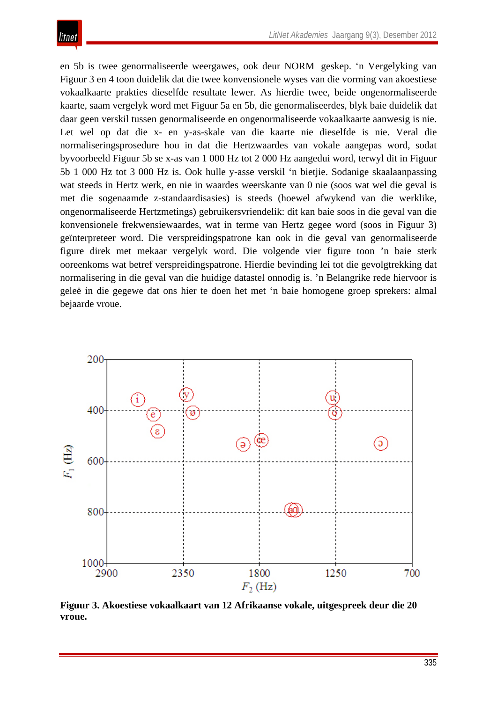en 5b is twee genormaliseerde weergawes, ook deur NORM geskep. 'n Vergelyking van Figuur 3 en 4 toon duidelik dat die twee konvensionele wyses van die vorming van akoestiese vokaalkaarte prakties dieselfde resultate lewer. As hierdie twee, beide ongenormaliseerde kaarte, saam vergelyk word met Figuur 5a en 5b, die genormaliseerdes, blyk baie duidelik dat daar geen verskil tussen genormaliseerde en ongenormaliseerde vokaalkaarte aanwesig is nie. Let wel op dat die x- en y-as-skale van die kaarte nie dieselfde is nie. Veral die normaliseringsprosedure hou in dat die Hertzwaardes van vokale aangepas word, sodat byvoorbeeld Figuur 5b se x-as van 1 000 Hz tot 2 000 Hz aangedui word, terwyl dit in Figuur 5b 1 000 Hz tot 3 000 Hz is. Ook hulle y-asse verskil 'n bietjie. Sodanige skaalaanpassing wat steeds in Hertz werk, en nie in waardes weerskante van 0 nie (soos wat wel die geval is met die sogenaamde z-standaardisasies) is steeds (hoewel afwykend van die werklike, ongenormaliseerde Hertzmetings) gebruikersvriendelik: dit kan baie soos in die geval van die konvensionele frekwensiewaardes, wat in terme van Hertz gegee word (soos in Figuur 3) geïnterpreteer word. Die verspreidingspatrone kan ook in die geval van genormaliseerde figure direk met mekaar vergelyk word. Die volgende vier figure toon 'n baie sterk ooreenkoms wat betref verspreidingspatrone. Hierdie bevinding lei tot die gevolgtrekking dat normalisering in die geval van die huidige datastel onnodig is. 'n Belangrike rede hiervoor is geleë in die gegewe dat ons hier te doen het met 'n baie homogene groep sprekers: almal bejaarde vroue.



**Figuur 3. Akoestiese vokaalkaart van 12 Afrikaanse vokale, uitgespreek deur die 20 vroue.**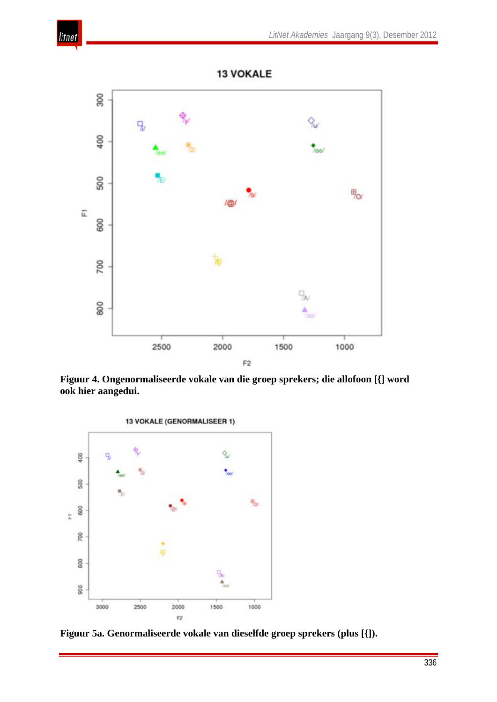



**Figuur 4. Ongenormaliseerde vokale van die groep sprekers; die allofoon [{] word ook hier aangedui.**



**Figuur 5a. Genormaliseerde vokale van dieselfde groep sprekers (plus [{]).**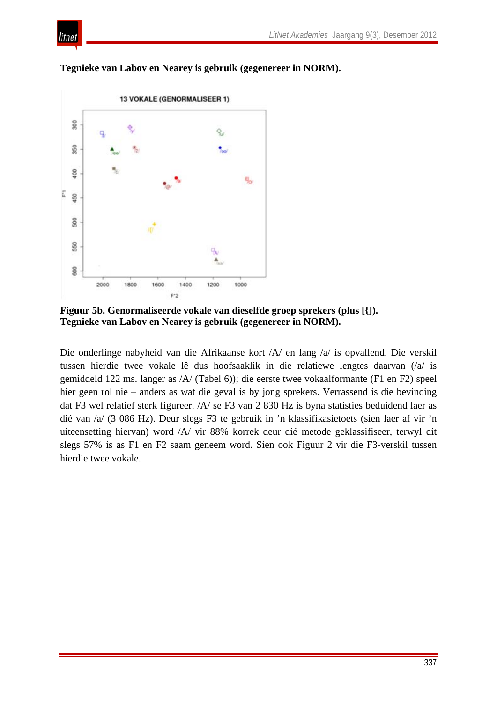



**Tegnieke van Labov en Nearey is gebruik (gegenereer in NORM).** 

**Figuur 5b. Genormaliseerde vokale van dieselfde groep sprekers (plus [{]). Tegnieke van Labov en Nearey is gebruik (gegenereer in NORM).** 

Die onderlinge nabyheid van die Afrikaanse kort /A/ en lang /a/ is opvallend. Die verskil tussen hierdie twee vokale lê dus hoofsaaklik in die relatiewe lengtes daarvan (/a/ is gemiddeld 122 ms. langer as /A/ (Tabel 6)); die eerste twee vokaalformante (F1 en F2) speel hier geen rol nie – anders as wat die geval is by jong sprekers. Verrassend is die bevinding dat F3 wel relatief sterk figureer. /A/ se F3 van 2 830 Hz is byna statisties beduidend laer as dié van /a/ (3 086 Hz). Deur slegs F3 te gebruik in 'n klassifikasietoets (sien laer af vir 'n uiteensetting hiervan) word /A/ vir 88% korrek deur dié metode geklassifiseer, terwyl dit slegs 57% is as F1 en F2 saam geneem word. Sien ook Figuur 2 vir die F3-verskil tussen hierdie twee vokale.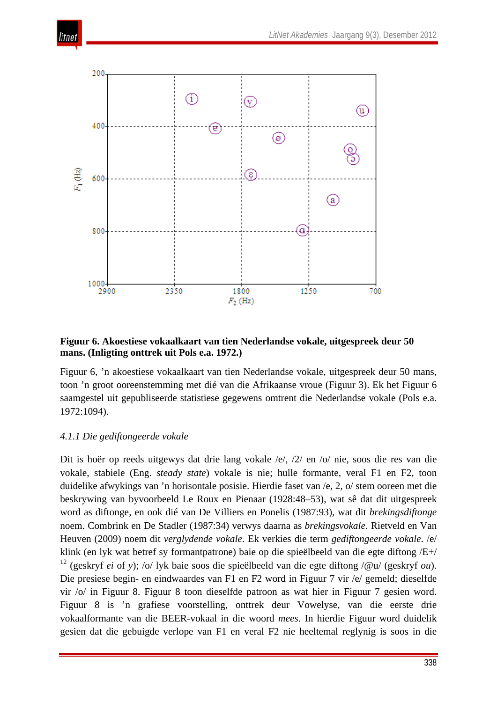



#### **Figuur 6. Akoestiese vokaalkaart van tien Nederlandse vokale, uitgespreek deur 50 mans. (Inligting onttrek uit Pols e.a. 1972.)**

Figuur 6, 'n akoestiese vokaalkaart van tien Nederlandse vokale, uitgespreek deur 50 mans, toon 'n groot ooreenstemming met dié van die Afrikaanse vroue (Figuur 3). Ek het Figuur 6 saamgestel uit gepubliseerde statistiese gegewens omtrent die Nederlandse vokale (Pols e.a. 1972:1094).

#### *4.1.1 Die gediftongeerde vokale*

Dit is hoër op reeds uitgewys dat drie lang vokale /e/, /2/ en /o/ nie, soos die res van die vokale, stabiele (Eng. *steady state*) vokale is nie; hulle formante, veral F1 en F2, toon duidelike afwykings van 'n horisontale posisie. Hierdie faset van /e, 2, o/ stem ooreen met die beskrywing van byvoorbeeld Le Roux en Pienaar (1928:48–53), wat sê dat dit uitgespreek word as diftonge, en ook dié van De Villiers en Ponelis (1987:93), wat dit *brekingsdiftonge* noem. Combrink en De Stadler (1987:34) verwys daarna as *brekingsvokale*. Rietveld en Van Heuven (2009) noem dit *verglydende vokale*. Ek verkies die term *gediftongeerde vokale*. /e/ klink (en lyk wat betref sy formantpatrone) baie op die spieëlbeeld van die egte diftong /E+/ <sup>12</sup> (geskryf *ei* of *y*); /o/ lyk baie soos die spieëlbeeld van die egte diftong /@u/ (geskryf *ou*). Die presiese begin- en eindwaardes van F1 en F2 word in Figuur 7 vir /e/ gemeld; dieselfde vir /o/ in Figuur 8. Figuur 8 toon dieselfde patroon as wat hier in Figuur 7 gesien word. Figuur 8 is 'n grafiese voorstelling, onttrek deur Vowelyse, van die eerste drie vokaalformante van die BEER-vokaal in die woord *mees.* In hierdie Figuur word duidelik gesien dat die gebuigde verlope van F1 en veral F2 nie heeltemal reglynig is soos in die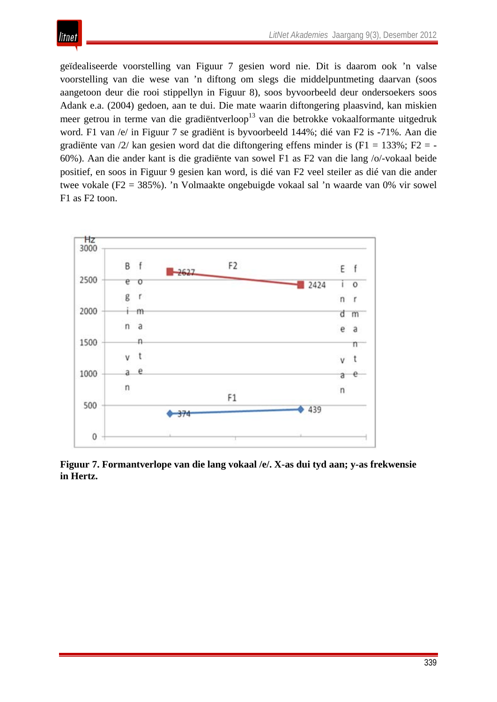

geïdealiseerde voorstelling van Figuur 7 gesien word nie. Dit is daarom ook 'n valse voorstelling van die wese van 'n diftong om slegs die middelpuntmeting daarvan (soos aangetoon deur die rooi stippellyn in Figuur 8), soos byvoorbeeld deur ondersoekers soos Adank e.a. (2004) gedoen, aan te dui. Die mate waarin diftongering plaasvind, kan miskien meer getrou in terme van die gradiëntverloop<sup>13</sup> van die betrokke vokaalformante uitgedruk word. F1 van /e/ in Figuur 7 se gradiënt is byvoorbeeld 144%; dié van F2 is -71%. Aan die gradiënte van  $\frac{2}{\}$  kan gesien word dat die diftongering effens minder is (F1 = 133%; F2 = -60%). Aan die ander kant is die gradiënte van sowel F1 as F2 van die lang /o/-vokaal beide positief, en soos in Figuur 9 gesien kan word, is dié van F2 veel steiler as dié van die ander twee vokale (F2 = 385%). 'n Volmaakte ongebuigde vokaal sal 'n waarde van 0% vir sowel F1 as F2 toon.



**Figuur 7. Formantverlope van die lang vokaal /e/. X-as dui tyd aan; y-as frekwensie in Hertz.**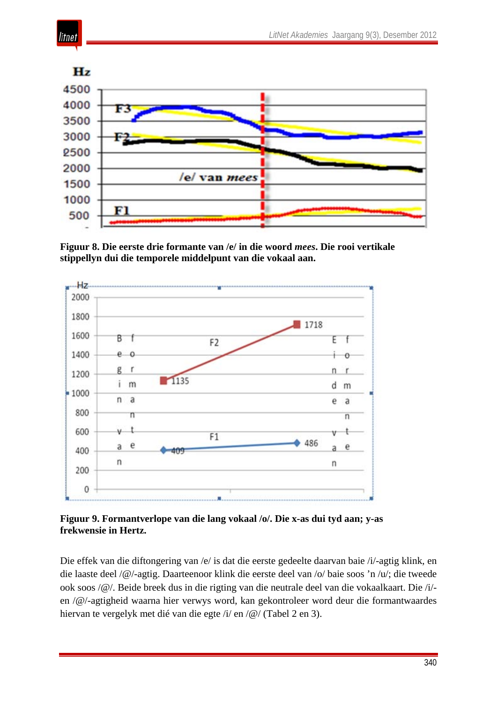

litnet

**Figuur 8. Die eerste drie formante van /e/ in die woord** *mees***. Die rooi vertikale stippellyn dui die temporele middelpunt van die vokaal aan.** 



**Figuur 9. Formantverlope van die lang vokaal /o/. Die x-as dui tyd aan; y-as frekwensie in Hertz.**

Die effek van die diftongering van /e/ is dat die eerste gedeelte daarvan baie /i/-agtig klink, en die laaste deel /@/-agtig. Daarteenoor klink die eerste deel van /o/ baie soos 'n /u/; die tweede ook soos /@/. Beide breek dus in die rigting van die neutrale deel van die vokaalkaart. Die /i/ en /@/-agtigheid waarna hier verwys word, kan gekontroleer word deur die formantwaardes hiervan te vergelyk met dié van die egte /i/ en /@/ (Tabel 2 en 3).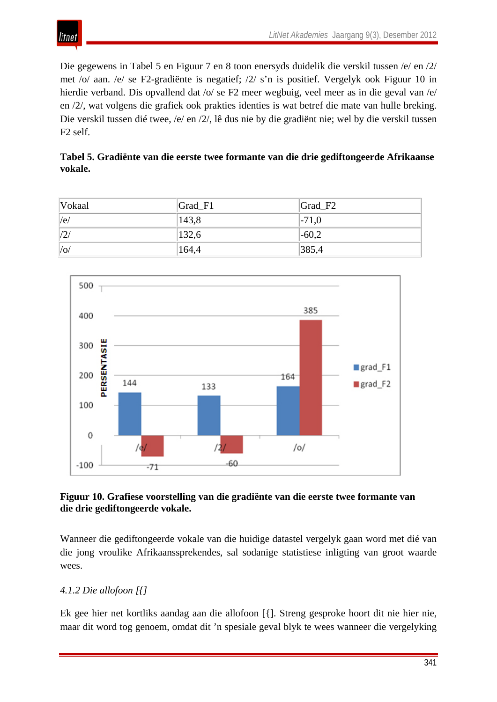

Die gegewens in Tabel 5 en Figuur 7 en 8 toon enersyds duidelik die verskil tussen /e/ en /2/ met /o/ aan. /e/ se F2-gradiënte is negatief; /2/ s'n is positief. Vergelyk ook Figuur 10 in hierdie verband. Dis opvallend dat /o/ se F2 meer wegbuig, veel meer as in die geval van /e/ en /2/, wat volgens die grafiek ook prakties identies is wat betref die mate van hulle breking. Die verskil tussen dié twee, /e/ en /2/, lê dus nie by die gradiënt nie; wel by die verskil tussen F2 self.

|         | Tabel 5. Gradiënte van die eerste twee formante van die drie gediftongeerde Afrikaanse |  |  |
|---------|----------------------------------------------------------------------------------------|--|--|
| vokale. |                                                                                        |  |  |

| Vokaal  | $Grad_F1$ | $Grad_F2$ |
|---------|-----------|-----------|
| e       | 143,8     | $ -71,0$  |
| /2      | 132,6     | $-60,2$   |
| $ $ /0/ | 164,4     | 385,4     |



### **Figuur 10. Grafiese voorstelling van die gradiënte van die eerste twee formante van die drie gediftongeerde vokale.**

Wanneer die gediftongeerde vokale van die huidige datastel vergelyk gaan word met dié van die jong vroulike Afrikaanssprekendes, sal sodanige statistiese inligting van groot waarde wees.

## *4.1.2 Die allofoon [{]*

Ek gee hier net kortliks aandag aan die allofoon [{]. Streng gesproke hoort dit nie hier nie, maar dit word tog genoem, omdat dit 'n spesiale geval blyk te wees wanneer die vergelyking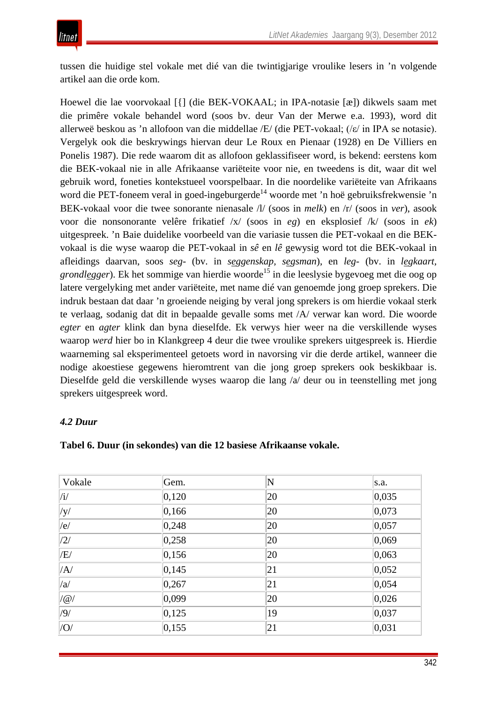tussen die huidige stel vokale met dié van die twintigjarige vroulike lesers in 'n volgende artikel aan die orde kom.

Hoewel die lae voorvokaal [{] (die BEK-VOKAAL; in IPA-notasie [æ]) dikwels saam met die primêre vokale behandel word (soos bv. deur Van der Merwe e.a. 1993), word dit allerweë beskou as 'n allofoon van die middellae /E/ (die PET-vokaal; (/ε/ in IPA se notasie). Vergelyk ook die beskrywings hiervan deur Le Roux en Pienaar (1928) en De Villiers en Ponelis 1987). Die rede waarom dit as allofoon geklassifiseer word, is bekend: eerstens kom die BEK-vokaal nie in alle Afrikaanse variëteite voor nie, en tweedens is dit, waar dit wel gebruik word, foneties kontekstueel voorspelbaar. In die noordelike variëteite van Afrikaans word die PET-foneem veral in goed-ingeburgerde<sup>14</sup> woorde met 'n hoë gebruiksfrekwensie 'n BEK-vokaal voor die twee sonorante nienasale /l/ (soos in *melk*) en /r/ (soos in *ver*), asook voor die nonsonorante velêre frikatief /x/ (soos in *eg*) en eksplosief /k/ (soos in *ek*) uitgespreek. 'n Baie duidelike voorbeeld van die variasie tussen die PET-vokaal en die BEKvokaal is die wyse waarop die PET-vokaal in *sê* en *lê* gewysig word tot die BEK-vokaal in afleidings daarvan, soos *seg-* (bv. in *seggenskap, segsman*), en *leg-* (bv. in *legkaart, grondlegger*). Ek het sommige van hierdie woorde<sup>15</sup> in die leeslysie bygevoeg met die oog op latere vergelyking met ander variëteite, met name dié van genoemde jong groep sprekers. Die indruk bestaan dat daar 'n groeiende neiging by veral jong sprekers is om hierdie vokaal sterk te verlaag, sodanig dat dit in bepaalde gevalle soms met /A/ verwar kan word. Die woorde *egter* en *agter* klink dan byna dieselfde. Ek verwys hier weer na die verskillende wyses waarop *werd* hier bo in Klankgreep 4 deur die twee vroulike sprekers uitgespreek is. Hierdie waarneming sal eksperimenteel getoets word in navorsing vir die derde artikel, wanneer die nodige akoestiese gegewens hieromtrent van die jong groep sprekers ook beskikbaar is. Dieselfde geld die verskillende wyses waarop die lang /a/ deur ou in teenstelling met jong sprekers uitgespreek word.

## *4.2 Duur*

| Vokale                   | Gem.            | $\overline{\mathsf{N}}$ | s.a.            |
|--------------------------|-----------------|-------------------------|-----------------|
| $\vert/\mathrm{i}/\vert$ | 0,120           | 20                      | 0,035           |
| $ $ /y/                  | 0,166           | 20                      | 0,073           |
| /e/                      | 0,248           | 20                      | 0,057           |
| /2/                      | 0,258           | 20                      | $ 0,069\rangle$ |
| /E/                      | 0,156           | 20                      | $ 0,063\rangle$ |
| /A/                      | 0,145           | 21                      | 0,052           |
| /a/                      | 0,267           | 21                      | 0,054           |
| $ /\mathcal{Q}/$         | $ 0,099\rangle$ | 20                      | 0,026           |
| /9/                      | 0,125           | 19                      | 0,037           |
| $ $ /O/                  | 0,155           | 21                      | 0,031           |

#### **Tabel 6. Duur (in sekondes) van die 12 basiese Afrikaanse vokale.**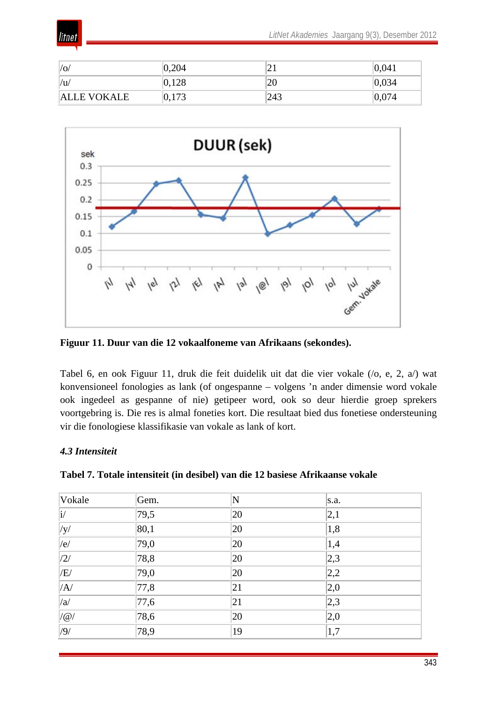

| $ /\mathrm{o}/$    | 0,204 | ∠⊥  | 0.041 |
|--------------------|-------|-----|-------|
| $ /\mathbf{u}$     | 0,128 | 20  | 0,034 |
| <b>ALLE VOKALE</b> | 0,173 | 243 | 0.074 |



**Figuur 11. Duur van die 12 vokaalfoneme van Afrikaans (sekondes).** 

Tabel 6, en ook Figuur 11, druk die feit duidelik uit dat die vier vokale (/o, e, 2, a/) wat konvensioneel fonologies as lank (of ongespanne – volgens 'n ander dimensie word vokale ook ingedeel as gespanne of nie) getipeer word, ook so deur hierdie groep sprekers voortgebring is. Die res is almal foneties kort. Die resultaat bied dus fonetiese ondersteuning vir die fonologiese klassifikasie van vokale as lank of kort.

#### *4.3 Intensiteit*

| Vokale           | Gem. | N  | s.a.          |
|------------------|------|----|---------------|
| $ i\rangle$      | 79,5 | 20 | 2,1           |
| $ $ /y/          | 80,1 | 20 | 1,8           |
| e                | 79,0 | 20 | 1,4           |
| /2/              | 78,8 | 20 | 2,3           |
| /E/              | 79,0 | 20 | 2,2           |
| /A/              | 77,8 | 21 | $ 2,0\rangle$ |
| /a/              | 77,6 | 21 | 2,3           |
| $\mathcal{O}(a)$ | 78,6 | 20 | 2,0           |
| /9/              | 78,9 | 19 | 1,7           |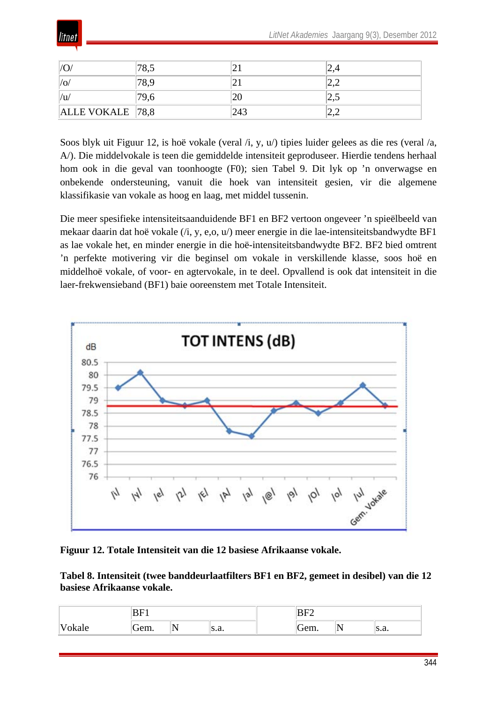

| $\Omega$         |     | <u>_</u>   |
|------------------|-----|------------|
| /0/              | _ . | <u>__</u>  |
| /u/              | ZU  | ے وگ       |
| ALLE VOKALE 78,8 | 243 | <u>_ _</u> |

Soos blyk uit Figuur 12, is hoë vokale (veral /i, y, u/) tipies luider gelees as die res (veral /a, A/). Die middelvokale is teen die gemiddelde intensiteit geproduseer. Hierdie tendens herhaal hom ook in die geval van toonhoogte (F0); sien Tabel 9. Dit lyk op 'n onverwagse en onbekende ondersteuning, vanuit die hoek van intensiteit gesien, vir die algemene klassifikasie van vokale as hoog en laag, met middel tussenin.

Die meer spesifieke intensiteitsaanduidende BF1 en BF2 vertoon ongeveer 'n spieëlbeeld van mekaar daarin dat hoë vokale (/i, y, e,o, u/) meer energie in die lae-intensiteitsbandwydte BF1 as lae vokale het, en minder energie in die hoë-intensiteitsbandwydte BF2. BF2 bied omtrent 'n perfekte motivering vir die beginsel om vokale in verskillende klasse, soos hoë en middelhoë vokale, of voor- en agtervokale, in te deel. Opvallend is ook dat intensiteit in die laer-frekwensieband (BF1) baie ooreenstem met Totale Intensiteit.



**Figuur 12. Totale Intensiteit van die 12 basiese Afrikaanse vokale.**

**Tabel 8. Intensiteit (twee banddeurlaatfilters BF1 en BF2, gemeet in desibel) van die 12 basiese Afrikaanse vokale.** 

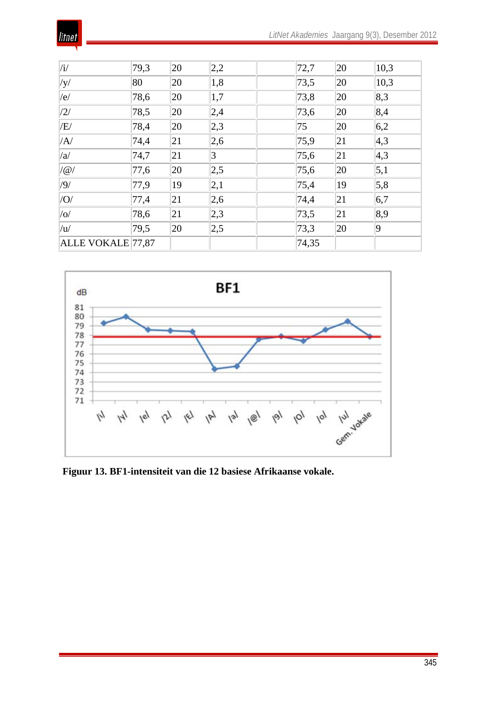|--|

| /i/               | 79,3 | 20 | 2,2 | 72,7  | 20 | 10,3              |
|-------------------|------|----|-----|-------|----|-------------------|
| $ $ /y/           | 80   | 20 | 1,8 | 73,5  | 20 | 10,3              |
| /e/               | 78,6 | 20 | 1,7 | 73,8  | 20 | 8,3               |
| /2/               | 78,5 | 20 | 2,4 | 73,6  | 20 | 8,4               |
| /E/               | 78,4 | 20 | 2,3 | 75    | 20 | 6,2               |
| /A/               | 74,4 | 21 | 2,6 | 75,9  | 21 | 4,3               |
| /a/               | 74,7 | 21 | 3   | 75,6  | 21 | $ 4,3\rangle$     |
| $/$ @             | 77,6 | 20 | 2,5 | 75,6  | 20 | $\vert 5,1 \vert$ |
| /9/               | 77,9 | 19 | 2,1 | 75,4  | 19 | 5,8               |
| $ $ /O/           | 77,4 | 21 | 2,6 | 74,4  | 21 | 6,7               |
| $ /\text{o}/$     | 78,6 | 21 | 2,3 | 73,5  | 21 | 8,9               |
| /u/               | 79,5 | 20 | 2,5 | 73,3  | 20 | $ 9\rangle$       |
| ALLE VOKALE 77,87 |      |    |     | 74,35 |    |                   |



**Figuur 13. BF1-intensiteit van die 12 basiese Afrikaanse vokale.**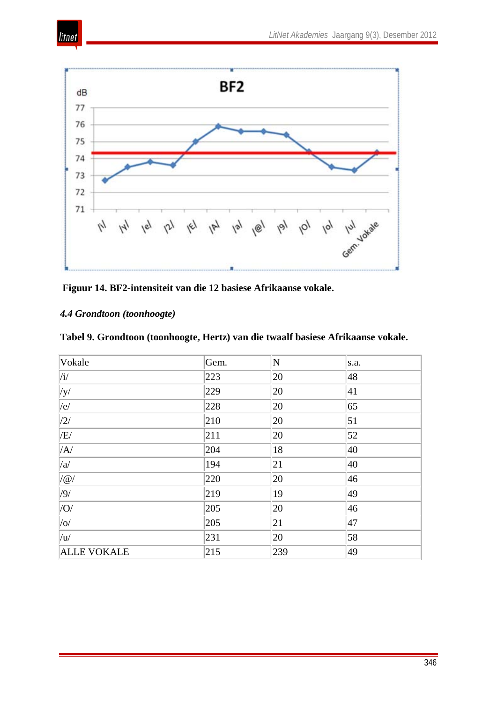



**Figuur 14. BF2-intensiteit van die 12 basiese Afrikaanse vokale.**

## *4.4 Grondtoon (toonhoogte)*

litnet

|  | Tabel 9. Grondtoon (toonhoogte, Hertz) van die twaalf basiese Afrikaanse vokale. |  |  |  |
|--|----------------------------------------------------------------------------------|--|--|--|
|  |                                                                                  |  |  |  |

| Vokale                   | Gem. | $ {\rm N} $ | s.a. |
|--------------------------|------|-------------|------|
| $\vert/\mathrm{i}/\vert$ | 223  | 20          | 48   |
| y                        | 229  | 20          | 41   |
| e                        | 228  | 20          | 65   |
| $\frac{1}{2}$            | 210  | 20          | 51   |
| /E/                      | 211  | 20          | 52   |
| /A/                      | 204  | 18          | 40   |
| /a/                      | 194  | 21          | 40   |
| $/$ @                    | 220  | 20          | 46   |
| /9/                      | 219  | 19          | 49   |
| $ $ /O/                  | 205  | 20          | 46   |
| $ $ /0/                  | 205  | 21          | 47   |
| /u/                      | 231  | 20          | 58   |
| <b>ALLE VOKALE</b>       | 215  | 239         | 49   |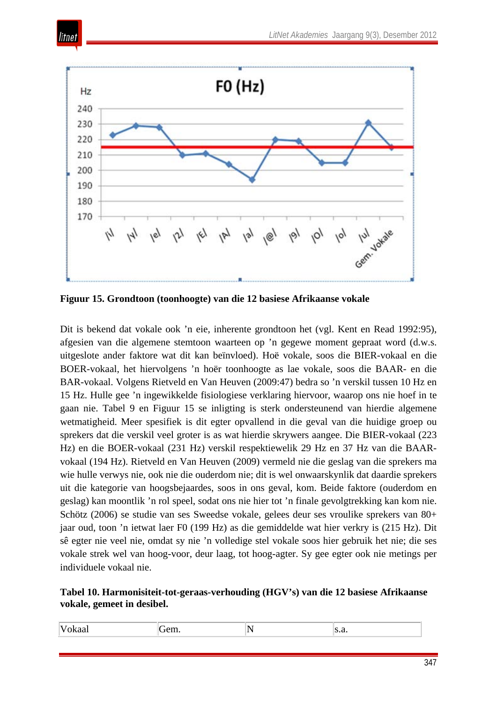

itnet

**Figuur 15. Grondtoon (toonhoogte) van die 12 basiese Afrikaanse vokale** 

Dit is bekend dat vokale ook 'n eie, inherente grondtoon het (vgl. Kent en Read 1992:95), afgesien van die algemene stemtoon waarteen op 'n gegewe moment gepraat word (d.w.s. uitgeslote ander faktore wat dit kan beïnvloed). Hoë vokale, soos die BIER-vokaal en die BOER-vokaal, het hiervolgens 'n hoër toonhoogte as lae vokale, soos die BAAR- en die BAR-vokaal. Volgens Rietveld en Van Heuven (2009:47) bedra so 'n verskil tussen 10 Hz en 15 Hz. Hulle gee 'n ingewikkelde fisiologiese verklaring hiervoor, waarop ons nie hoef in te gaan nie. Tabel 9 en Figuur 15 se inligting is sterk ondersteunend van hierdie algemene wetmatigheid. Meer spesifiek is dit egter opvallend in die geval van die huidige groep ou sprekers dat die verskil veel groter is as wat hierdie skrywers aangee. Die BIER-vokaal (223 Hz) en die BOER-vokaal (231 Hz) verskil respektiewelik 29 Hz en 37 Hz van die BAARvokaal (194 Hz). Rietveld en Van Heuven (2009) vermeld nie die geslag van die sprekers ma wie hulle verwys nie, ook nie die ouderdom nie; dit is wel onwaarskynlik dat daardie sprekers uit die kategorie van hoogsbejaardes, soos in ons geval, kom. Beide faktore (ouderdom en geslag) kan moontlik 'n rol speel, sodat ons nie hier tot 'n finale gevolgtrekking kan kom nie. Schötz (2006) se studie van ses Sweedse vokale, gelees deur ses vroulike sprekers van 80+ jaar oud, toon 'n ietwat laer F0 (199 Hz) as die gemiddelde wat hier verkry is (215 Hz). Dit sê egter nie veel nie, omdat sy nie 'n volledige stel vokale soos hier gebruik het nie; die ses vokale strek wel van hoog-voor, deur laag, tot hoog-agter. Sy gee egter ook nie metings per individuele vokaal nie.

#### **Tabel 10. Harmonisiteit-tot-geraas-verhouding (HGV's) van die 12 basiese Afrikaanse vokale, gemeet in desibel.**

| Vokaal<br>∽<br>$- \alpha r$<br>U.L. | 'N<br>∼ | $\sim$<br>٠.а. |  |
|-------------------------------------|---------|----------------|--|
|-------------------------------------|---------|----------------|--|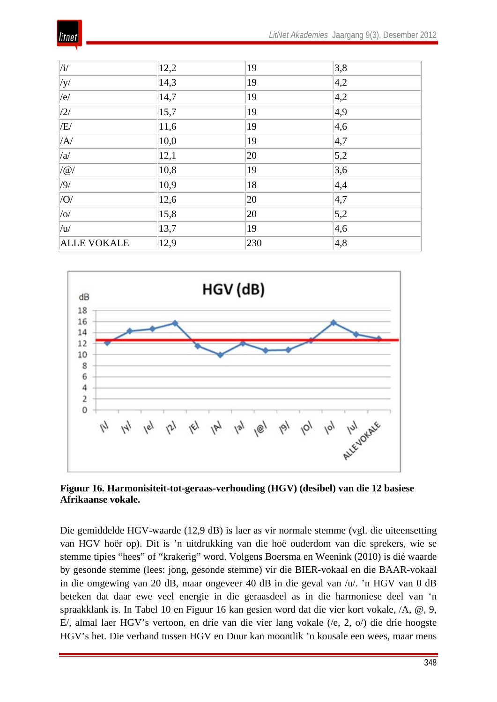

| $\sqrt{i/2}$       | 12,2 | 19  | 3,8           |
|--------------------|------|-----|---------------|
| $ $ /y/            | 14,3 | 19  | $ 4,2\rangle$ |
| e                  | 14,7 | 19  | 4,2           |
| /2/                | 15,7 | 19  | $ 4,9\rangle$ |
| /E/                | 11,6 | 19  | 4,6           |
| /A                 | 10,0 | 19  | 4,7           |
| /a/                | 12,1 | 20  | 5,2           |
| $/$ @              | 10,8 | 19  | 3,6           |
| /9/                | 10,9 | 18  | 4,4           |
| O                  | 12,6 | 20  | 4,7           |
| $ $ /0 $/$         | 15,8 | 20  | 5,2           |
| /u/                | 13,7 | 19  | 4,6           |
| <b>ALLE VOKALE</b> | 12,9 | 230 | 4,8           |



**Figuur 16. Harmonisiteit-tot-geraas-verhouding (HGV) (desibel) van die 12 basiese Afrikaanse vokale.**

Die gemiddelde HGV-waarde (12,9 dB) is laer as vir normale stemme (vgl. die uiteensetting van HGV hoër op). Dit is 'n uitdrukking van die hoë ouderdom van die sprekers, wie se stemme tipies "hees" of "krakerig" word. Volgens Boersma en Weenink (2010) is dié waarde by gesonde stemme (lees: jong, gesonde stemme) vir die BIER-vokaal en die BAAR-vokaal in die omgewing van 20 dB, maar ongeveer 40 dB in die geval van /u/. 'n HGV van 0 dB beteken dat daar ewe veel energie in die geraasdeel as in die harmoniese deel van 'n spraakklank is. In Tabel 10 en Figuur 16 kan gesien word dat die vier kort vokale, /A, @, 9, E/, almal laer HGV's vertoon, en drie van die vier lang vokale (/e, 2, o/) die drie hoogste HGV's het. Die verband tussen HGV en Duur kan moontlik 'n kousale een wees, maar mens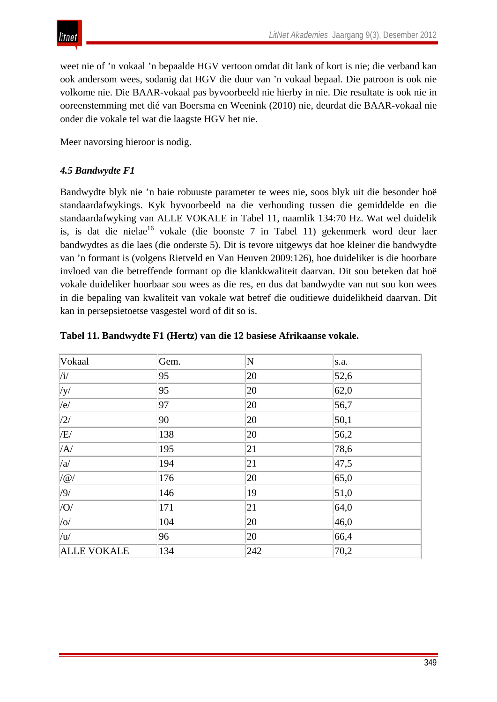

weet nie of 'n vokaal 'n bepaalde HGV vertoon omdat dit lank of kort is nie; die verband kan ook andersom wees, sodanig dat HGV die duur van 'n vokaal bepaal. Die patroon is ook nie volkome nie. Die BAAR-vokaal pas byvoorbeeld nie hierby in nie. Die resultate is ook nie in ooreenstemming met dié van Boersma en Weenink (2010) nie, deurdat die BAAR-vokaal nie onder die vokale tel wat die laagste HGV het nie.

Meer navorsing hieroor is nodig.

## *4.5 Bandwydte F1*

Bandwydte blyk nie 'n baie robuuste parameter te wees nie, soos blyk uit die besonder hoë standaardafwykings. Kyk byvoorbeeld na die verhouding tussen die gemiddelde en die standaardafwyking van ALLE VOKALE in Tabel 11, naamlik 134:70 Hz. Wat wel duidelik is, is dat die nielae<sup>16</sup> vokale (die boonste 7 in Tabel 11) gekenmerk word deur laer bandwydtes as die laes (die onderste 5). Dit is tevore uitgewys dat hoe kleiner die bandwydte van 'n formant is (volgens Rietveld en Van Heuven 2009:126), hoe duideliker is die hoorbare invloed van die betreffende formant op die klankkwaliteit daarvan. Dit sou beteken dat hoë vokale duideliker hoorbaar sou wees as die res, en dus dat bandwydte van nut sou kon wees in die bepaling van kwaliteit van vokale wat betref die ouditiewe duidelikheid daarvan. Dit kan in persepsietoetse vasgestel word of dit so is.

| Vokaal                   | Gem. | $ {\rm N} $ | s.a.           |
|--------------------------|------|-------------|----------------|
| $\vert/\mathrm{i}/\vert$ | 95   | 20          | 52,6           |
| $\sqrt{y}$               | 95   | 20          | 62,0           |
| e                        | 97   | 20          | 56,7           |
| $\sqrt{2/}$              | 90   | 20          | 50,1           |
| /E/                      | 138  | 20          | 56,2           |
| /A/                      | 195  | 21          | 78,6           |
| /a/                      | 194  | 21          | 47,5           |
| $ /\varpi/$              | 176  | 20          | 65,0           |
| /9/                      | 146  | 19          | 51,0           |
| $ $ /O/                  | 171  | 21          | 64,0           |
| $ $ /0/                  | 104  | 20          | $ 46,0\rangle$ |
| $ _{\rm{u}}/$            | 96   | 20          | 66,4           |
| <b>ALLE VOKALE</b>       | 134  | 242         | 70,2           |

#### **Tabel 11. Bandwydte F1 (Hertz) van die 12 basiese Afrikaanse vokale.**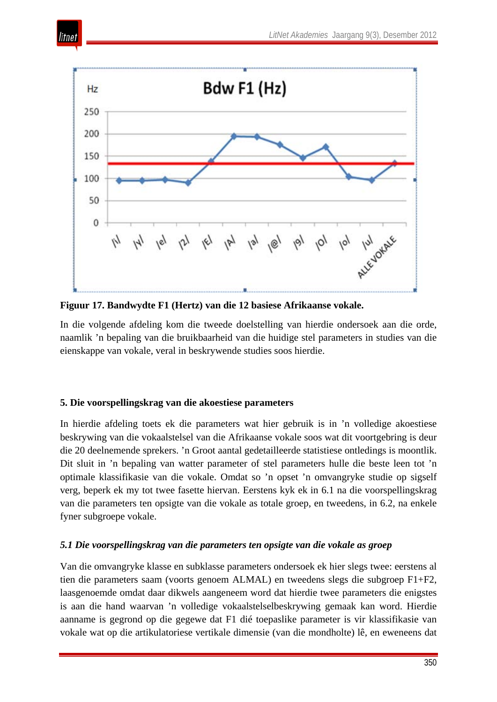

**Figuur 17. Bandwydte F1 (Hertz) van die 12 basiese Afrikaanse vokale.**

In die volgende afdeling kom die tweede doelstelling van hierdie ondersoek aan die orde, naamlik 'n bepaling van die bruikbaarheid van die huidige stel parameters in studies van die eienskappe van vokale, veral in beskrywende studies soos hierdie.

## **5. Die voorspellingskrag van die akoestiese parameters**

itnet

In hierdie afdeling toets ek die parameters wat hier gebruik is in 'n volledige akoestiese beskrywing van die vokaalstelsel van die Afrikaanse vokale soos wat dit voortgebring is deur die 20 deelnemende sprekers. 'n Groot aantal gedetailleerde statistiese ontledings is moontlik. Dit sluit in 'n bepaling van watter parameter of stel parameters hulle die beste leen tot 'n optimale klassifikasie van die vokale. Omdat so 'n opset 'n omvangryke studie op sigself verg, beperk ek my tot twee fasette hiervan. Eerstens kyk ek in 6.1 na die voorspellingskrag van die parameters ten opsigte van die vokale as totale groep, en tweedens, in 6.2, na enkele fyner subgroepe vokale.

#### *5.1 Die voorspellingskrag van die parameters ten opsigte van die vokale as groep*

Van die omvangryke klasse en subklasse parameters ondersoek ek hier slegs twee: eerstens al tien die parameters saam (voorts genoem ALMAL) en tweedens slegs die subgroep F1+F2, laasgenoemde omdat daar dikwels aangeneem word dat hierdie twee parameters die enigstes is aan die hand waarvan 'n volledige vokaalstelselbeskrywing gemaak kan word. Hierdie aanname is gegrond op die gegewe dat F1 dié toepaslike parameter is vir klassifikasie van vokale wat op die artikulatoriese vertikale dimensie (van die mondholte) lê, en eweneens dat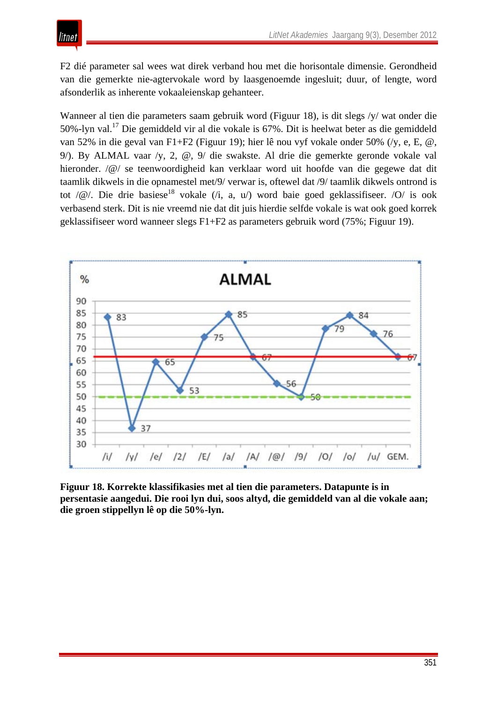F2 dié parameter sal wees wat direk verband hou met die horisontale dimensie. Gerondheid van die gemerkte nie-agtervokale word by laasgenoemde ingesluit; duur, of lengte, word afsonderlik as inherente vokaaleienskap gehanteer.

litnet

Wanneer al tien die parameters saam gebruik word (Figuur 18), is dit slegs /y/ wat onder die 50%-lyn val. <sup>17</sup> Die gemiddeld vir al die vokale is 67%. Dit is heelwat beter as die gemiddeld van 52% in die geval van F1+F2 (Figuur 19); hier lê nou vyf vokale onder 50% (/y, e, E, @, 9/). By ALMAL vaar /y, 2, @, 9/ die swakste. Al drie die gemerkte geronde vokale val hieronder. /@/ se teenwoordigheid kan verklaar word uit hoofde van die gegewe dat dit taamlik dikwels in die opnamestel met/9/ verwar is, oftewel dat /9/ taamlik dikwels ontrond is tot / $@$ /. Die drie basiese<sup>18</sup> vokale (/i, a, u/) word baie goed geklassifiseer. /O/ is ook verbasend sterk. Dit is nie vreemd nie dat dit juis hierdie selfde vokale is wat ook goed korrek geklassifiseer word wanneer slegs F1+F2 as parameters gebruik word (75%; Figuur 19).



**Figuur 18. Korrekte klassifikasies met al tien die parameters. Datapunte is in persentasie aangedui. Die rooi lyn dui, soos altyd, die gemiddeld van al die vokale aan; die groen stippellyn lê op die 50%-lyn.**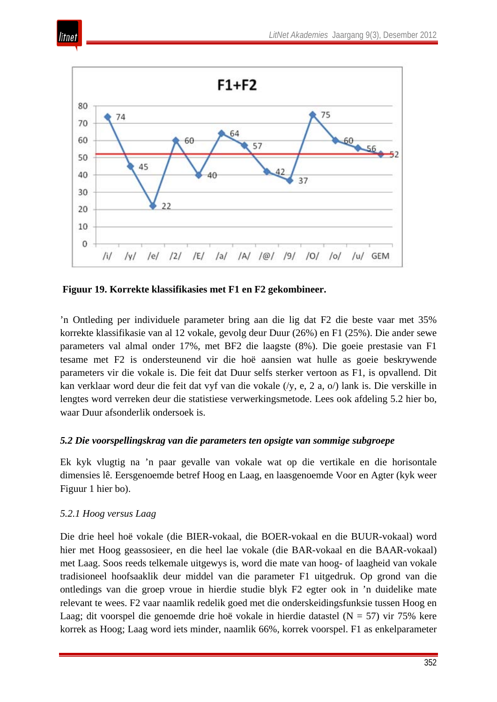



**Figuur 19. Korrekte klassifikasies met F1 en F2 gekombineer.** 

'n Ontleding per individuele parameter bring aan die lig dat F2 die beste vaar met 35% korrekte klassifikasie van al 12 vokale, gevolg deur Duur (26%) en F1 (25%). Die ander sewe parameters val almal onder 17%, met BF2 die laagste (8%). Die goeie prestasie van F1 tesame met F2 is ondersteunend vir die hoë aansien wat hulle as goeie beskrywende parameters vir die vokale is. Die feit dat Duur selfs sterker vertoon as F1, is opvallend. Dit kan verklaar word deur die feit dat vyf van die vokale (/y, e, 2 a, o/) lank is. Die verskille in lengtes word verreken deur die statistiese verwerkingsmetode. Lees ook afdeling 5.2 hier bo, waar Duur afsonderlik ondersoek is.

#### *5.2 Die voorspellingskrag van die parameters ten opsigte van sommige subgroepe*

Ek kyk vlugtig na 'n paar gevalle van vokale wat op die vertikale en die horisontale dimensies lê. Eersgenoemde betref Hoog en Laag, en laasgenoemde Voor en Agter (kyk weer Figuur 1 hier bo).

#### *5.2.1 Hoog versus Laag*

Die drie heel hoë vokale (die BIER-vokaal, die BOER-vokaal en die BUUR-vokaal) word hier met Hoog geassosieer, en die heel lae vokale (die BAR-vokaal en die BAAR-vokaal) met Laag. Soos reeds telkemale uitgewys is, word die mate van hoog- of laagheid van vokale tradisioneel hoofsaaklik deur middel van die parameter F1 uitgedruk. Op grond van die ontledings van die groep vroue in hierdie studie blyk F2 egter ook in 'n duidelike mate relevant te wees. F2 vaar naamlik redelik goed met die onderskeidingsfunksie tussen Hoog en Laag; dit voorspel die genoemde drie hoë vokale in hierdie datastel ( $N = 57$ ) vir 75% kere korrek as Hoog; Laag word iets minder, naamlik 66%, korrek voorspel. F1 as enkelparameter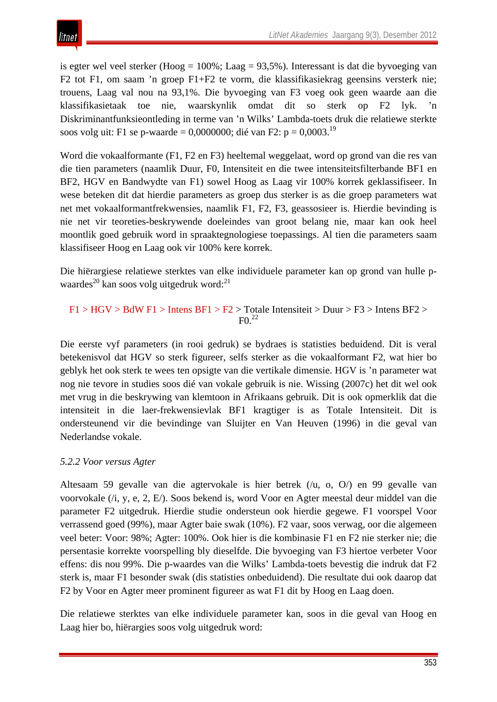is egter wel veel sterker (Hoog = 100%; Laag = 93,5%). Interessant is dat die byvoeging van F2 tot F1, om saam 'n groep F1+F2 te vorm, die klassifikasiekrag geensins versterk nie; trouens, Laag val nou na 93,1%. Die byvoeging van F3 voeg ook geen waarde aan die klassifikasietaak toe nie, waarskynlik omdat dit so sterk op F2 lyk. 'n Diskriminantfunksieontleding in terme van 'n Wilks' Lambda-toets druk die relatiewe sterkte soos volg uit: F1 se p-waarde = 0,0000000; dié van F2:  $p = 0,0003$ <sup>19</sup>

Word die vokaalformante (F1, F2 en F3) heeltemal weggelaat, word op grond van die res van die tien parameters (naamlik Duur, F0, Intensiteit en die twee intensiteitsfilterbande BF1 en BF2, HGV en Bandwydte van F1) sowel Hoog as Laag vir 100% korrek geklassifiseer. In wese beteken dit dat hierdie parameters as groep dus sterker is as die groep parameters wat net met vokaalformantfrekwensies, naamlik F1, F2, F3, geassosieer is. Hierdie bevinding is nie net vir teoreties-beskrywende doeleindes van groot belang nie, maar kan ook heel moontlik goed gebruik word in spraaktegnologiese toepassings. Al tien die parameters saam klassifiseer Hoog en Laag ook vir 100% kere korrek.

Die hiërargiese relatiewe sterktes van elke individuele parameter kan op grond van hulle p-waardes<sup>[20](http://www.litnet.co.za/Article/akoestiese-analise-van-die-vokale-van-n-groep-bejaarde-afrikaanse-vroue#_edn13)</sup> kan soos volg uitgedruk word:<sup>21</sup>

F1 > HGV > BdW F1 > Intens BF1 > F2 > Totale Intensiteit > Duur > F3 > Intens BF2 >  $F<sup>22</sup>$ 

Die eerste vyf parameters (in rooi gedruk) se bydraes is statisties beduidend. Dit is veral betekenisvol dat HGV so sterk figureer, selfs sterker as die vokaalformant F2, wat hier bo geblyk het ook sterk te wees ten opsigte van die vertikale dimensie. HGV is 'n parameter wat nog nie tevore in studies soos dié van vokale gebruik is nie. Wissing (2007c) het dit wel ook met vrug in die beskrywing van klemtoon in Afrikaans gebruik. Dit is ook opmerklik dat die intensiteit in die laer-frekwensievlak BF1 kragtiger is as Totale Intensiteit. Dit is ondersteunend vir die bevindinge van Sluijter en Van Heuven (1996) in die geval van Nederlandse vokale.

## *5.2.2 Voor versus Agter*

Altesaam 59 gevalle van die agtervokale is hier betrek (/u, o, O/) en 99 gevalle van voorvokale (/i, y, e, 2, E/). Soos bekend is, word Voor en Agter meestal deur middel van die parameter F2 uitgedruk. Hierdie studie ondersteun ook hierdie gegewe. F1 voorspel Voor verrassend goed (99%), maar Agter baie swak (10%). F2 vaar, soos verwag, oor die algemeen veel beter: Voor: 98%; Agter: 100%. Ook hier is die kombinasie F1 en F2 nie sterker nie; die persentasie korrekte voorspelling bly dieselfde. Die byvoeging van F3 hiertoe verbeter Voor effens: dis nou 99%. Die p-waardes van die Wilks' Lambda-toets bevestig die indruk dat F2 sterk is, maar F1 besonder swak (dis statisties onbeduidend). Die resultate dui ook daarop dat F2 by Voor en Agter meer prominent figureer as wat F1 dit by Hoog en Laag doen.

Die relatiewe sterktes van elke individuele parameter kan, soos in die geval van Hoog en Laag hier bo, hiërargies soos volg uitgedruk word: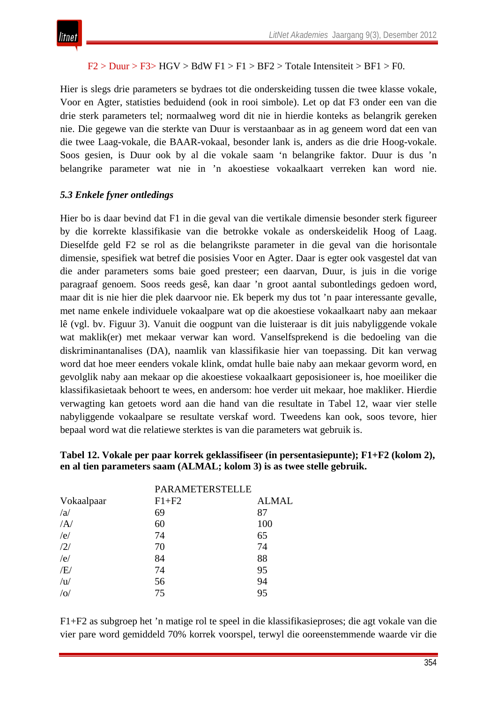### $F2 > Duur > F3 > HGV > BdW F1 > F1 > BF2 > Totale Intensiteit > BF1 > F0.$

Hier is slegs drie parameters se bydraes tot die onderskeiding tussen die twee klasse vokale, Voor en Agter, statisties beduidend (ook in rooi simbole). Let op dat F3 onder een van die drie sterk parameters tel; normaalweg word dit nie in hierdie konteks as belangrik gereken nie. Die gegewe van die sterkte van Duur is verstaanbaar as in ag geneem word dat een van die twee Laag-vokale, die BAAR-vokaal, besonder lank is, anders as die drie Hoog-vokale. Soos gesien, is Duur ook by al die vokale saam 'n belangrike faktor. Duur is dus 'n belangrike parameter wat nie in 'n akoestiese vokaalkaart verreken kan word nie.

## *5.3 Enkele fyner ontledings*

Hier bo is daar bevind dat F1 in die geval van die vertikale dimensie besonder sterk figureer by die korrekte klassifikasie van die betrokke vokale as onderskeidelik Hoog of Laag. Dieselfde geld F2 se rol as die belangrikste parameter in die geval van die horisontale dimensie, spesifiek wat betref die posisies Voor en Agter. Daar is egter ook vasgestel dat van die ander parameters soms baie goed presteer; een daarvan, Duur, is juis in die vorige paragraaf genoem. Soos reeds gesê, kan daar 'n groot aantal subontledings gedoen word, maar dit is nie hier die plek daarvoor nie. Ek beperk my dus tot 'n paar interessante gevalle, met name enkele individuele vokaalpare wat op die akoestiese vokaalkaart naby aan mekaar lê (vgl. bv. Figuur 3). Vanuit die oogpunt van die luisteraar is dit juis nabyliggende vokale wat maklik(er) met mekaar verwar kan word. Vanselfsprekend is die bedoeling van die diskriminantanalises (DA), naamlik van klassifikasie hier van toepassing. Dit kan verwag word dat hoe meer eenders vokale klink, omdat hulle baie naby aan mekaar gevorm word, en gevolglik naby aan mekaar op die akoestiese vokaalkaart geposisioneer is, hoe moeiliker die klassifikasietaak behoort te wees, en andersom: hoe verder uit mekaar, hoe makliker. Hierdie verwagting kan getoets word aan die hand van die resultate in Tabel 12, waar vier stelle nabyliggende vokaalpare se resultate verskaf word. Tweedens kan ook, soos tevore, hier bepaal word wat die relatiewe sterktes is van die parameters wat gebruik is.

#### **Tabel 12. Vokale per paar korrek geklassifiseer (in persentasiepunte); F1+F2 (kolom 2), en al tien parameters saam (ALMAL; kolom 3) is as twee stelle gebruik.**

| <b>PARAMETERSTELLE</b> |              |
|------------------------|--------------|
| $F1 + F2$              | <b>ALMAL</b> |
| 69                     | 87           |
| 60                     | 100          |
| 74                     | 65           |
| 70                     | 74           |
| 84                     | 88           |
| 74                     | 95           |
| 56                     | 94           |
| 75                     | 95           |
|                        |              |

F1+F2 as subgroep het 'n matige rol te speel in die klassifikasieproses; die agt vokale van die vier pare word gemiddeld 70% korrek voorspel, terwyl die ooreenstemmende waarde vir die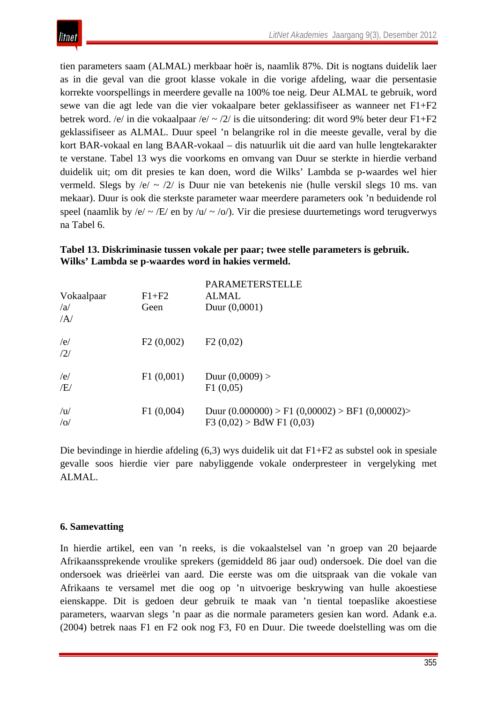tien parameters saam (ALMAL) merkbaar hoër is, naamlik 87%. Dit is nogtans duidelik laer as in die geval van die groot klasse vokale in die vorige afdeling, waar die persentasie korrekte voorspellings in meerdere gevalle na 100% toe neig. Deur ALMAL te gebruik, word sewe van die agt lede van die vier vokaalpare beter geklassifiseer as wanneer net F1+F2 betrek word. /e/ in die vokaalpaar /e/ ~ /2/ is die uitsondering: dit word 9% beter deur F1+F2 geklassifiseer as ALMAL. Duur speel 'n belangrike rol in die meeste gevalle, veral by die kort BAR-vokaal en lang BAAR-vokaal – dis natuurlik uit die aard van hulle lengtekarakter te verstane. Tabel 13 wys die voorkoms en omvang van Duur se sterkte in hierdie verband duidelik uit; om dit presies te kan doen, word die Wilks' Lambda se p-waardes wel hier vermeld. Slegs by /e/ ~ /2/ is Duur nie van betekenis nie (hulle verskil slegs 10 ms. van mekaar). Duur is ook die sterkste parameter waar meerdere parameters ook 'n beduidende rol speel (naamlik by /e/  $\sim$  /E/ en by /u/  $\sim$  /o/). Vir die presiese duurtemetings word terugverwys na Tabel 6.

#### **Tabel 13. Diskriminasie tussen vokale per paar; twee stelle parameters is gebruik. Wilks' Lambda se p-waardes word in hakies vermeld.**

| Vokaalpaar<br>/a<br>$\overline{A}$ | $F1 + F2$<br>Geen | <b>PARAMETERSTELLE</b><br>ALMAL<br>Duur $(0,0001)$                                    |
|------------------------------------|-------------------|---------------------------------------------------------------------------------------|
| /e/<br>/2/                         | F2(0,002)         | F2(0,02)                                                                              |
| /e/<br>/E/                         | F1(0,001)         | Duur $(0,0009)$ ><br>F1(0,05)                                                         |
| /u<br>/ o/                         | F1(0,004)         | Duur $(0.000000)$ > F1 $(0,00002)$ > BF1 $(0,00002)$ ><br>F3 $(0,02) > BdW F1 (0,03)$ |

Die bevindinge in hierdie afdeling (6,3) wys duidelik uit dat F1+F2 as substel ook in spesiale gevalle soos hierdie vier pare nabyliggende vokale onderpresteer in vergelyking met ALMAL.

#### **6. Samevatting**

itnet

In hierdie artikel, een van 'n reeks, is die vokaalstelsel van 'n groep van 20 bejaarde Afrikaanssprekende vroulike sprekers (gemiddeld 86 jaar oud) ondersoek. Die doel van die ondersoek was drieërlei van aard. Die eerste was om die uitspraak van die vokale van Afrikaans te versamel met die oog op 'n uitvoerige beskrywing van hulle akoestiese eienskappe. Dit is gedoen deur gebruik te maak van 'n tiental toepaslike akoestiese parameters, waarvan slegs 'n paar as die normale parameters gesien kan word. Adank e.a. (2004) betrek naas F1 en F2 ook nog F3, F0 en Duur. Die tweede doelstelling was om die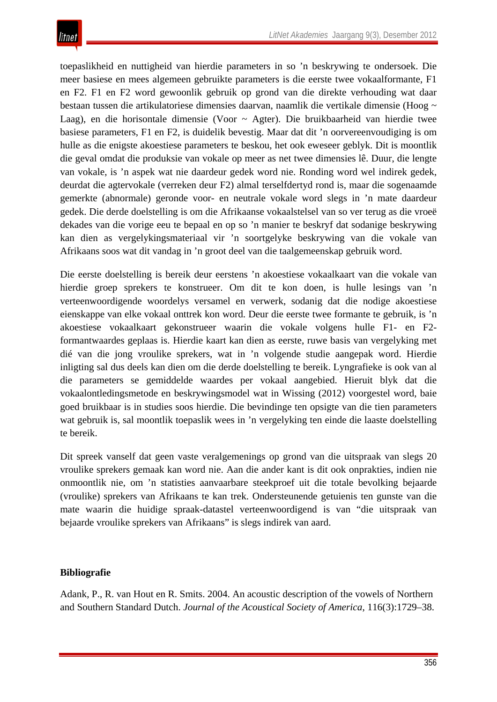toepaslikheid en nuttigheid van hierdie parameters in so 'n beskrywing te ondersoek. Die meer basiese en mees algemeen gebruikte parameters is die eerste twee vokaalformante, F1 en F2. F1 en F2 word gewoonlik gebruik op grond van die direkte verhouding wat daar bestaan tussen die artikulatoriese dimensies daarvan, naamlik die vertikale dimensie (Hoog ~ Laag), en die horisontale dimensie (Voor ~ Agter). Die bruikbaarheid van hierdie twee basiese parameters, F1 en F2, is duidelik bevestig. Maar dat dit 'n oorvereenvoudiging is om hulle as die enigste akoestiese parameters te beskou, het ook eweseer geblyk. Dit is moontlik die geval omdat die produksie van vokale op meer as net twee dimensies lê. Duur, die lengte van vokale, is 'n aspek wat nie daardeur gedek word nie. Ronding word wel indirek gedek, deurdat die agtervokale (verreken deur F2) almal terselfdertyd rond is, maar die sogenaamde gemerkte (abnormale) geronde voor- en neutrale vokale word slegs in 'n mate daardeur gedek. Die derde doelstelling is om die Afrikaanse vokaalstelsel van so ver terug as die vroeë dekades van die vorige eeu te bepaal en op so 'n manier te beskryf dat sodanige beskrywing kan dien as vergelykingsmateriaal vir 'n soortgelyke beskrywing van die vokale van Afrikaans soos wat dit vandag in 'n groot deel van die taalgemeenskap gebruik word.

Die eerste doelstelling is bereik deur eerstens 'n akoestiese vokaalkaart van die vokale van hierdie groep sprekers te konstrueer. Om dit te kon doen, is hulle lesings van 'n verteenwoordigende woordelys versamel en verwerk, sodanig dat die nodige akoestiese eienskappe van elke vokaal onttrek kon word. Deur die eerste twee formante te gebruik, is 'n akoestiese vokaalkaart gekonstrueer waarin die vokale volgens hulle F1- en F2 formantwaardes geplaas is. Hierdie kaart kan dien as eerste, ruwe basis van vergelyking met dié van die jong vroulike sprekers, wat in 'n volgende studie aangepak word. Hierdie inligting sal dus deels kan dien om die derde doelstelling te bereik. Lyngrafieke is ook van al die parameters se gemiddelde waardes per vokaal aangebied. Hieruit blyk dat die vokaalontledingsmetode en beskrywingsmodel wat in Wissing (2012) voorgestel word, baie goed bruikbaar is in studies soos hierdie. Die bevindinge ten opsigte van die tien parameters wat gebruik is, sal moontlik toepaslik wees in 'n vergelyking ten einde die laaste doelstelling te bereik.

Dit spreek vanself dat geen vaste veralgemenings op grond van die uitspraak van slegs 20 vroulike sprekers gemaak kan word nie. Aan die ander kant is dit ook onprakties, indien nie onmoontlik nie, om 'n statisties aanvaarbare steekproef uit die totale bevolking bejaarde (vroulike) sprekers van Afrikaans te kan trek. Ondersteunende getuienis ten gunste van die mate waarin die huidige spraak-datastel verteenwoordigend is van "die uitspraak van bejaarde vroulike sprekers van Afrikaans" is slegs indirek van aard.

## **Bibliografie**

Adank, P., R. van Hout en R. Smits. 2004. An acoustic description of the vowels of Northern and Southern Standard Dutch. *Journal of the Acoustical Society of America*, 116(3):1729–38.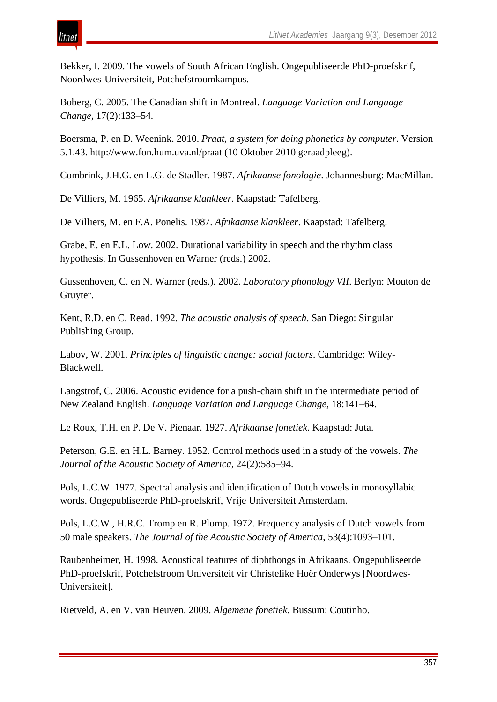Bekker, I. 2009. The vowels of South African English. Ongepubliseerde PhD-proefskrif, Noordwes-Universiteit, Potchefstroomkampus.

Boberg, C. 2005. The Canadian shift in Montreal. *Language Variation and Language Change*, 17(2):133–54.

Boersma, P. en D. Weenink. 2010. *Praat, a system for doing phonetics by computer*. Version 5.1.43. http://www.fon.hum.uva.nl/praat (10 Oktober 2010 geraadpleeg).

Combrink, J.H.G. en L.G. de Stadler. 1987. *Afrikaanse fonologie*. Johannesburg: MacMillan.

De Villiers, M. 1965. *Afrikaanse klankleer*. Kaapstad: Tafelberg.

De Villiers, M. en F.A. Ponelis. 1987. *Afrikaanse klankleer*. Kaapstad: Tafelberg.

Grabe, E. en E.L. Low. 2002. Durational variability in speech and the rhythm class hypothesis. In Gussenhoven en Warner (reds.) 2002.

Gussenhoven, C. en N. Warner (reds.). 2002. *Laboratory phonology VII*. Berlyn: Mouton de Gruyter.

Kent, R.D. en C. Read. 1992. *The acoustic analysis of speech*. San Diego: Singular Publishing Group.

Labov, W. 2001. *Principles of linguistic change: social factors*. Cambridge: Wiley-Blackwell.

Langstrof, C. 2006. Acoustic evidence for a push-chain shift in the intermediate period of New Zealand English. *Language Variation and Language Change*, 18:141–64.

Le Roux, T.H. en P. De V. Pienaar. 1927. *Afrikaanse fonetiek*. Kaapstad: Juta.

Peterson, G.E. en H.L. Barney. 1952. Control methods used in a study of the vowels. *The Journal of the Acoustic Society of America*, 24(2):585–94.

Pols, L.C.W. 1977. Spectral analysis and identification of Dutch vowels in monosyllabic words. Ongepubliseerde PhD-proefskrif, Vrije Universiteit Amsterdam.

Pols, L.C.W., H.R.C. Tromp en R. Plomp. 1972. Frequency analysis of Dutch vowels from 50 male speakers. *The Journal of the Acoustic Society of America*, 53(4):1093–101.

Raubenheimer, H. 1998. Acoustical features of diphthongs in Afrikaans. Ongepubliseerde PhD-proefskrif, Potchefstroom Universiteit vir Christelike Hoër Onderwys [Noordwes-Universiteit].

Rietveld, A. en V. van Heuven. 2009. *Algemene fonetiek*. Bussum: Coutinho.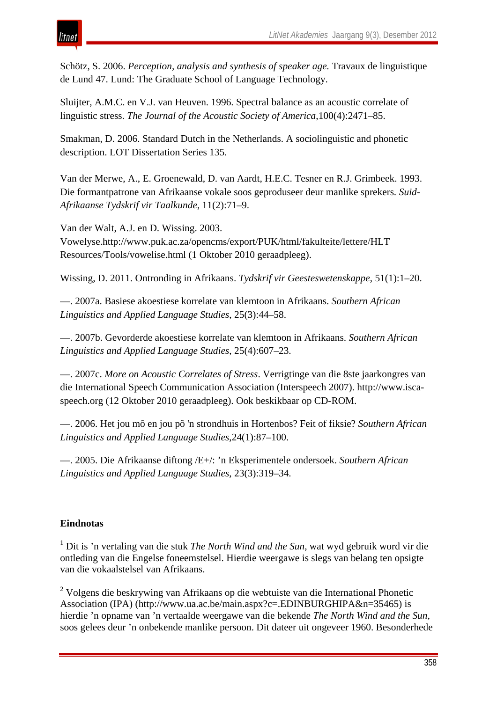## itnet

Schötz, S. 2006. *Perception, analysis and synthesis of speaker age.* Travaux de linguistique de Lund 47. Lund: The Graduate School of Language Technology.

Sluijter, A.M.C. en V.J. van Heuven. 1996. Spectral balance as an acoustic correlate of linguistic stress. *The Journal of the Acoustic Society of America*,100(4):2471–85.

Smakman, D. 2006. Standard Dutch in the Netherlands. A sociolinguistic and phonetic description. LOT Dissertation Series 135.

Van der Merwe, A., E. Groenewald, D. van Aardt, H.E.C. Tesner en R.J. Grimbeek. 1993. Die formantpatrone van Afrikaanse vokale soos geproduseer deur manlike sprekers*. Suid-Afrikaanse Tydskrif vir Taalkunde*, 11(2):71–9.

Van der Walt, A.J. en D. Wissing. 2003. Vowelyse.http://www.puk.ac.za/opencms/export/PUK/html/fakulteite/lettere/HLT Resources/Tools/vowelise.html (1 Oktober 2010 geraadpleeg).

Wissing, D. 2011. Ontronding in Afrikaans. *Tydskrif vir Geesteswetenskappe*, 51(1):1–20.

—. 2007a. Basiese akoestiese korrelate van klemtoon in Afrikaans. *Southern African Linguistics and Applied Language Studies*, 25(3):44–58.

—. 2007b. Gevorderde akoestiese korrelate van klemtoon in Afrikaans. *Southern African Linguistics and Applied Language Studies*, 25(4):607–23.

—. 2007c. *More on Acoustic Correlates of Stress*. Verrigtinge van die 8ste jaarkongres van die International Speech Communication Association (Interspeech 2007). http://www.iscaspeech.org (12 Oktober 2010 geraadpleeg). Ook beskikbaar op CD-ROM.

—. 2006. Het jou mô en jou pô 'n strondhuis in Hortenbos? Feit of fiksie? *Southern African Linguistics and Applied Language Studies*,24(1):87–100.

—. 2005. Die Afrikaanse diftong /E+/: 'n Eksperimentele ondersoek. *Southern African Linguistics and Applied Language Studies*, 23(3):319–34.

## **Eindnotas**

<sup>1</sup> Dit is 'n vertaling van die stuk *The North Wind and the Sun*, wat wyd gebruik word vir die ontleding van die Engelse foneemstelsel. Hierdie weergawe is slegs van belang ten opsigte van die vokaalstelsel van Afrikaans.

<sup>2</sup> Volgens die beskrywing van Afrikaans op die webtuiste van die International Phonetic Association (IPA) (http://www.ua.ac.be/main.aspx?c=.EDINBURGHIPA&n=35465) is hierdie 'n opname van 'n vertaalde weergawe van die bekende *The North Wind and the Sun*, soos gelees deur 'n onbekende manlike persoon. Dit dateer uit ongeveer 1960. Besonderhede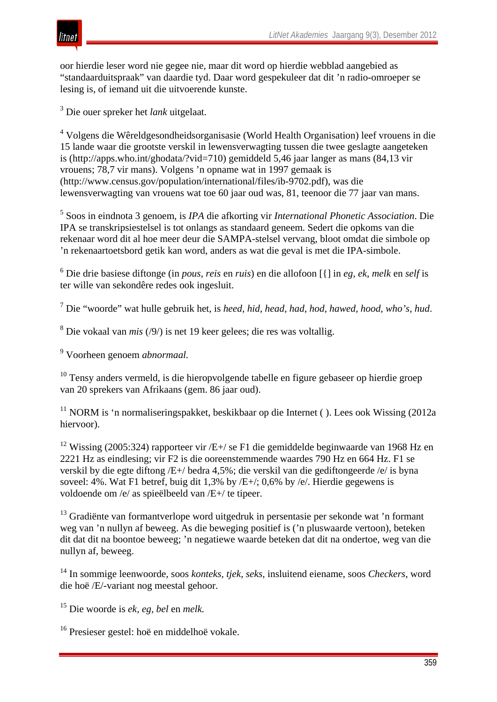

oor hierdie leser word nie gegee nie, maar dit word op hierdie webblad aangebied as "standaarduitspraak" van daardie tyd. Daar word gespekuleer dat dit 'n radio-omroeper se lesing is, of iemand uit die uitvoerende kunste.

<sup>3</sup> Die ouer spreker het *lank* uitgelaat.

<sup>4</sup> Volgens die Wêreldgesondheidsorganisasie (World Health Organisation) leef vrouens in die 15 lande waar die grootste verskil in lewensverwagting tussen die twee geslagte aangeteken is (http://apps.who.int/ghodata/?vid=710) gemiddeld 5,46 jaar langer as mans (84,13 vir vrouens; 78,7 vir mans). Volgens 'n opname wat in 1997 gemaak is (http://www.census.gov/population/international/files/ib-9702.pdf), was die lewensverwagting van vrouens wat toe 60 jaar oud was, 81, teenoor die 77 jaar van mans.

<sup>5</sup> Soos in eindnota 3 genoem, is *IPA* die afkorting vir *International Phonetic Association*. Die IPA se transkripsiestelsel is tot onlangs as standaard geneem. Sedert die opkoms van die rekenaar word dit al hoe meer deur die SAMPA-stelsel vervang, bloot omdat die simbole op 'n rekenaartoetsbord getik kan word, anders as wat die geval is met die IPA-simbole.

<sup>6</sup> Die drie basiese diftonge (in *pous*, *reis* en *ruis*) en die allofoon [{] in *eg*, *ek*, *melk* en *self* is ter wille van sekondêre redes ook ingesluit.

<sup>7</sup> Die "woorde" wat hulle gebruik het, is *heed, hid, head, had, hod, hawed, hood, who's, hud*.

<sup>8</sup> Die vokaal van *mis* (/9/) is net 19 keer gelees; die res was voltallig.

<sup>9</sup> Voorheen genoem *abnormaal.*

<sup>10</sup> Tensy anders vermeld, is die hieropvolgende tabelle en figure gebaseer op hierdie groep van 20 sprekers van Afrikaans (gem. 86 jaar oud).

 $11$  NORM is 'n normaliseringspakket, beskikbaar op die Internet ( ). Lees ook Wissing (2012a) hiervoor).

<sup>12</sup> Wissing (2005:324) rapporteer vir /E+/ se F1 die gemiddelde beginwaarde van 1968 Hz en 2221 Hz as eindlesing; vir F2 is die ooreenstemmende waardes 790 Hz en 664 Hz. F1 se verskil by die egte diftong /E+/ bedra 4,5%; die verskil van die gediftongeerde /e/ is byna soveel: 4%. Wat F1 betref, buig dit 1,3% by /E+/; 0,6% by /e/. Hierdie gegewens is voldoende om /e/ as spieëlbeeld van /E+/ te tipeer.

<sup>13</sup> Gradiënte van formantverlope word uitgedruk in persentasie per sekonde wat 'n formant weg van 'n nullyn af beweeg. As die beweging positief is ('n pluswaarde vertoon), beteken dit dat dit na boontoe beweeg; 'n negatiewe waarde beteken dat dit na ondertoe, weg van die nullyn af, beweeg.

<sup>14</sup> In sommige leenwoorde, soos *konteks, tjek, seks,* insluitend eiename, soos *Checkers*, word die hoë /E/-variant nog meestal gehoor.

<sup>15</sup> Die woorde is *ek, eg, bel* en *melk.*

<sup>16</sup> Presieser gestel: hoë en middelhoë vokale.